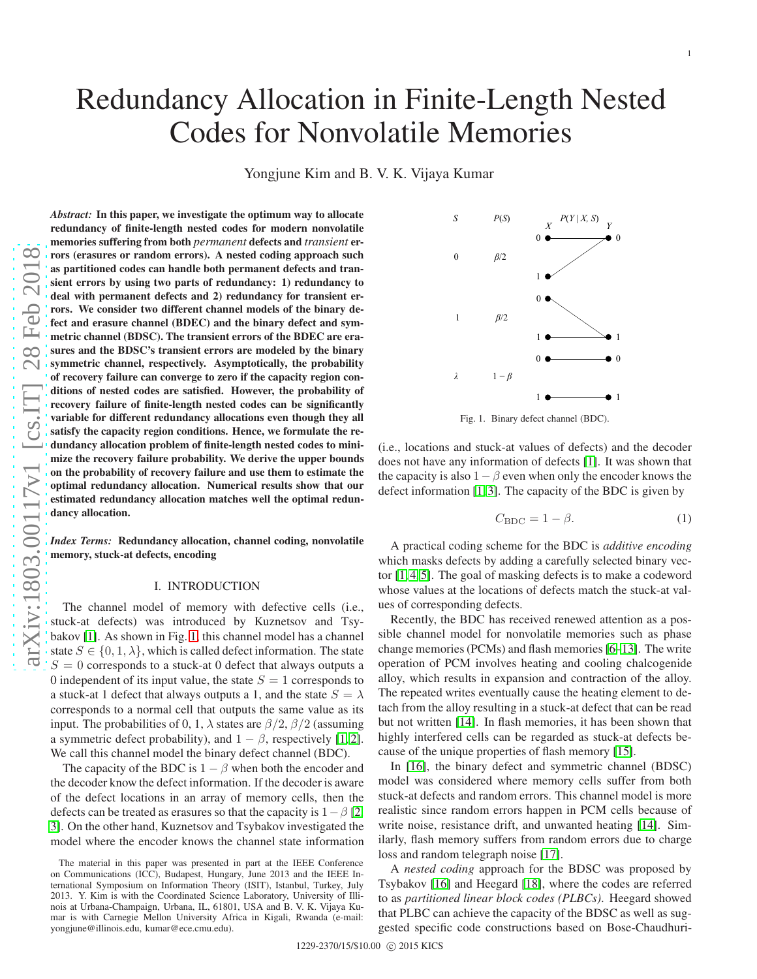# Codes for Nonvolatile Memories Yongjune Kim and B. V. K. Vijaya Kumar *Abstract:* In this paper, we investigate the optimum way to allocate redundancy of finite-length nested codes for modern nonvolatile memories suffering from both *permanent* defects and *transient* er-

rors (erasures or random errors). A nested coding approach such as partitioned codes can handle both permanent defects and transient errors by using two parts of redundancy: 1) redundancy to deal with permanent defects and 2) redundancy for transient errors. We consider two different channel models of the binary defect and erasure channel (BDEC) and the binary defect and symmetric channel (BDSC). The transient errors of the BDEC are erasures and the BDSC's transient errors are modeled by the binary symmetric channel, respectively. Asymptotically, the probability of recovery failure can converge to zero if the capacity region conditions of nested codes are satisfied. However, the probability of recovery failure of finite-length nested codes can be significantly variable for different redundancy allocations even though they all satisfy the capacity region conditions. Hence, we formulate the redundancy allocation problem of finite-length nested codes to minimize the recovery failure probability. We derive the upper bounds on the probability of recovery failure and use them to estimate the optimal redundancy allocation. Numerical results show that our estimated redundancy allocation matches well the optimal redundancy allocation.

*Index Terms:* Redundancy allocation, channel coding, nonvolatile memory, stuck-at defects, encoding

# I. INTRODUCTION

The channel model of memory with defective cells (i.e., stuck-at defects) was introduced by Kuznetsov and Tsybakov [\[1\]](#page-10-0). As shown in Fig. [1,](#page-0-0) this channel model has a channel state  $S \in \{0, 1, \lambda\}$ , which is called defect information. The state  $S = 0$  corresponds to a stuck-at 0 defect that always outputs a 0 independent of its input value, the state  $S = 1$  corresponds to a stuck-at 1 defect that always outputs a 1, and the state  $S = \lambda$ corresponds to a normal cell that outputs the same value as it s input. The probabilities of 0, 1,  $\lambda$  states are  $\beta/2$ ,  $\beta/2$  (assuming a symmetric defect probability), and  $1 - \beta$ , respectively [\[1,](#page-10-0) [2\]](#page-10-1). We call this channel model the binary defect channel (BDC).

The capacity of the BDC is  $1 - \beta$  when both the encoder and the decoder know the defect information. If the decoder is aware of the defect locations in an array of memory cells, then the defects can be treated as erasures so that the capacity is  $1 - \beta$  [\[2,](#page-10-1) [3\]](#page-10-2). On the other hand, Kuznetsov and Tsybakov investigated the model where the encoder knows the channel state information



<span id="page-0-0"></span>Fig. 1. Binary defect channel (BDC).

(i.e., locations and stuck-at values of defects) and the decoder does not have any information of defects [\[1\]](#page-10-0). It was shown tha t the capacity is also  $1 - \beta$  even when only the encoder knows the defect information [\[1,](#page-10-0) [3\]](#page-10-2). The capacity of the BDC is given by

$$
C_{\rm BDC} = 1 - \beta. \tag{1}
$$

1

A practical coding scheme for the BDC is *additive encoding* which masks defects by adding a carefully selected binary vector [\[1,](#page-10-0) [4,](#page-10-3) [5\]](#page-10-4). The goal of masking defects is to make a codeword whose values at the locations of defects match the stuck-at values of corresponding defects.

Recently, the BDC has received renewed attention as a possible channel model for nonvolatile memories such as phase change memories (PCMs) and flash memories [\[6–](#page-10-5)[13\]](#page-11-0). The write operation of PCM involves heating and cooling chalcogenide alloy, which results in expansion and contraction of the alloy. The repeated writes eventually cause the heating element to detach from the alloy resulting in a stuck-at defect that can be read but not written [\[14\]](#page-11-1). In flash memories, it has been shown that highly interfered cells can be regarded as stuck-at defects because of the unique properties of flash memory [\[15\]](#page-11-2).

In [\[16\]](#page-11-3), the binary defect and symmetric channel (BDSC) model was considered where memory cells suffer from both stuck-at defects and random errors. This channel model is more realistic since random errors happen in PCM cells because of write noise, resistance drift, and unwanted heating [\[14\]](#page-11-1). Similarly, flash memory suffers from random errors due to charge loss and random telegraph noise [\[17\]](#page-11-4).

A *nested coding* approach for the BDSC was proposed by Tsybakov [\[16\]](#page-11-3) and Heegard [\[18\]](#page-11-5), where the codes are referred to as *partitioned linear block codes (PLBCs)*. Heegard showed that PLBC can achieve the capacity of the BDSC as well as suggested specific code constructions based on Bose-Chaudhuri-

Redundancy Allocation in Finite-Length Nested

The material in this paper was presented in part at the IEEE Conference on Communications (ICC), Budapest, Hungary, June 2013 and the IEEE International Symposium on Information Theory (ISIT), Istanbul, Turkey, July 2013. Y. Kim is with the Coordinated Science Laboratory, University of Illinois at Urbana-Champaign, Urbana, IL, 61801, USA and B. V. K. Vijaya Kumar is with Carnegie Mellon University Africa in Kigali, Rwanda (e-mail: yongjune@illinois.edu, kumar@ece.cmu.edu).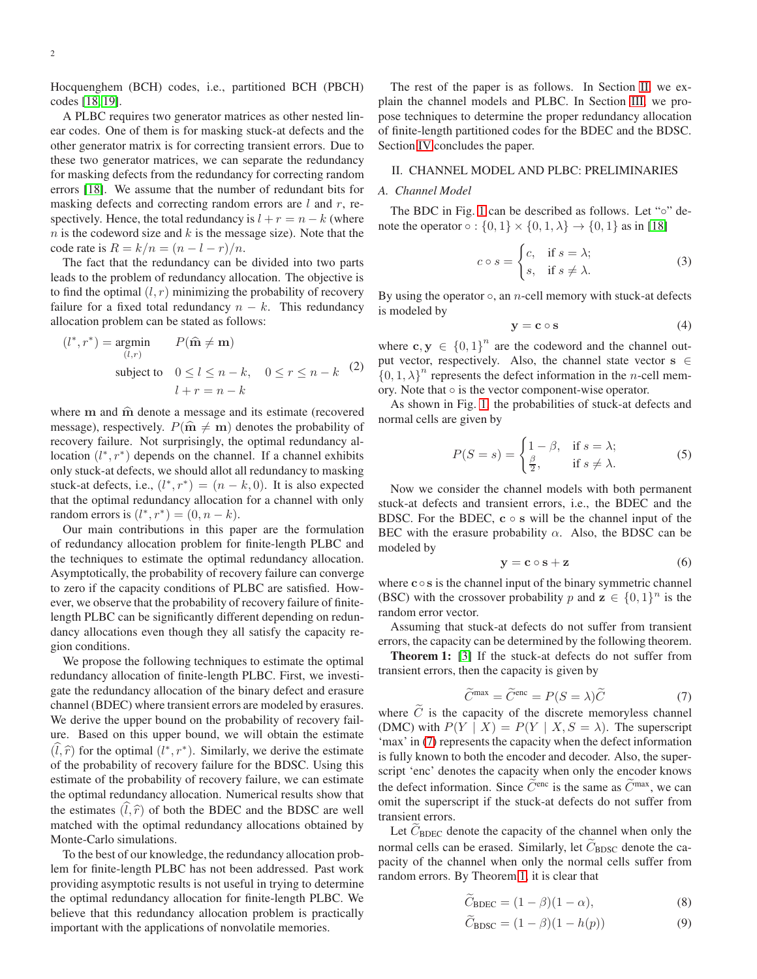Hocquenghem (BCH) codes, i.e., partitioned BCH (PBCH) codes [\[18,](#page-11-5) [19\]](#page-11-6).

A PLBC requires two generator matrices as other nested linear codes. One of them is for masking stuck-at defects and the other generator matrix is for correcting transient errors. Due to these two generator matrices, we can separate the redundancy for masking defects from the redundancy for correcting random errors [\[18\]](#page-11-5). We assume that the number of redundant bits for masking defects and correcting random errors are  $l$  and  $r$ , respectively. Hence, the total redundancy is  $l + r = n - k$  (where  $n$  is the codeword size and  $k$  is the message size). Note that the code rate is  $R = k/n = (n - l - r)/n$ .

The fact that the redundancy can be divided into two parts leads to the problem of redundancy allocation. The objective is to find the optimal  $(l, r)$  minimizing the probability of recovery failure for a fixed total redundancy  $n - k$ . This redundancy allocation problem can be stated as follows:

<span id="page-1-5"></span>
$$
(l^*, r^*) = \underset{(l,r)}{\text{argmin}} \qquad P(\hat{\mathbf{m}} \neq \mathbf{m})
$$
  
subject to  $0 \le l \le n - k, \quad 0 \le r \le n - k$  (2)  

$$
l + r = n - k
$$

where  $m$  and  $\hat{m}$  denote a message and its estimate (recovered message), respectively.  $P(\hat{\mathbf{m}} \neq \mathbf{m})$  denotes the probability of recovery failure. Not surprisingly, the optimal redundancy allocation  $(l^*, r^*)$  depends on the channel. If a channel exhibits only stuck-at defects, we should allot all redundancy to masking stuck-at defects, i.e.,  $(l^*, r^*) = (n - k, 0)$ . It is also expected that the optimal redundancy allocation for a channel with only random errors is  $(l^*, r^*) = (0, n - k)$ .

Our main contributions in this paper are the formulation of redundancy allocation problem for finite-length PLBC and the techniques to estimate the optimal redundancy allocation. Asymptotically, the probability of recovery failure can converge to zero if the capacity conditions of PLBC are satisfied. However, we observe that the probability of recovery failure of finitelength PLBC can be significantly different depending on redundancy allocations even though they all satisfy the capacity region conditions.

We propose the following techniques to estimate the optimal redundancy allocation of finite-length PLBC. First, we investigate the redundancy allocation of the binary defect and erasure channel (BDEC) where transient errors are modeled by erasures. We derive the upper bound on the probability of recovery failure. Based on this upper bound, we will obtain the estimate  $(\hat{l}, \hat{r})$  for the optimal  $(l^*, r^*)$ . Similarly, we derive the estimate of the probability of recovery failure for the BDSC. Using this estimate of the probability of recovery failure, we can estimate the optimal redundancy allocation. Numerical results show that the estimates  $(\tilde{l}, \hat{r})$  of both the BDEC and the BDSC are well matched with the optimal redundancy allocations obtained by Monte-Carlo simulations.

To the best of our knowledge, the redundancy allocation problem for finite-length PLBC has not been addressed. Past work providing asymptotic results is not useful in trying to determine the optimal redundancy allocation for finite-length PLBC. We believe that this redundancy allocation problem is practically important with the applications of nonvolatile memories.

The rest of the paper is as follows. In Section [II,](#page-1-0) we explain the channel models and PLBC. In Section [III,](#page-3-0) we propose techniques to determine the proper redundancy allocation of finite-length partitioned codes for the BDEC and the BDSC. Section [IV](#page-8-0) concludes the paper.

# <span id="page-1-0"></span>II. CHANNEL MODEL AND PLBC: PRELIMINARIES

# *A. Channel Model*

The BDC in Fig. [1](#page-0-0) can be described as follows. Let "∘" denote the operator  $\circ$  :  $\{0, 1\} \times \{0, 1, \lambda\} \rightarrow \{0, 1\}$  as in [\[18\]](#page-11-5)

$$
c \circ s = \begin{cases} c, & \text{if } s = \lambda; \\ s, & \text{if } s \neq \lambda. \end{cases}
$$
 (3)

By using the operator  $\circ$ , an *n*-cell memory with stuck-at defects is modeled by

$$
y = c \circ s \tag{4}
$$

where  $\mathbf{c}, \mathbf{y} \in \{0, 1\}^n$  are the codeword and the channel output vector, respectively. Also, the channel state vector  $s \in$  $\{0, 1, \lambda\}^n$  represents the defect information in the *n*-cell memory. Note that  $\circ$  is the vector component-wise operator.

As shown in Fig. [1,](#page-0-0) the probabilities of stuck-at defects and normal cells are given by

$$
P(S = s) = \begin{cases} 1 - \beta, & \text{if } s = \lambda; \\ \frac{\beta}{2}, & \text{if } s \neq \lambda. \end{cases}
$$
 (5)

Now we consider the channel models with both permanent stuck-at defects and transient errors, i.e., the BDEC and the BDSC. For the BDEC,  $c \circ s$  will be the channel input of the BEC with the erasure probability  $\alpha$ . Also, the BDSC can be modeled by

<span id="page-1-4"></span><span id="page-1-2"></span>
$$
y = c \circ s + z \tag{6}
$$

where  $c \circ s$  is the channel input of the binary symmetric channel (BSC) with the crossover probability p and  $z \in \{0, 1\}^n$  is the random error vector.

Assuming that stuck-at defects do not suffer from transient errors, the capacity can be determined by the following theorem.

Theorem 1: [\[3\]](#page-10-2) If the stuck-at defects do not suffer from transient errors, then the capacity is given by

<span id="page-1-1"></span>
$$
\widetilde{C}^{\max} = \widetilde{C}^{\text{enc}} = P(S = \lambda)\widetilde{C}
$$
\n(7)

where  $C$  is the capacity of the discrete memoryless channel (DMC) with  $P(Y | X) = P(Y | X, S = \lambda)$ . The superscript 'max' in [\(7\)](#page-1-1) represents the capacity when the defect information is fully known to both the encoder and decoder. Also, the superscript 'enc' denotes the capacity when only the encoder knows the defect information. Since  $\tilde{C}^{enc}$  is the same as  $\tilde{C}^{max}$ , we can omit the superscript if the stuck-at defects do not suffer from transient errors.

Let  $C_{BDEC}$  denote the capacity of the channel when only the normal cells can be erased. Similarly, let  $\widetilde{C}_{BDSC}$  denote the capacity of the channel when only the normal cells suffer from random errors. By Theorem [1,](#page-1-2) it is clear that

<span id="page-1-6"></span><span id="page-1-3"></span>
$$
\tilde{C}_{\text{BDEC}} = (1 - \beta)(1 - \alpha),\tag{8}
$$

$$
C_{\rm BDSC} = (1 - \beta)(1 - h(p))
$$
 (9)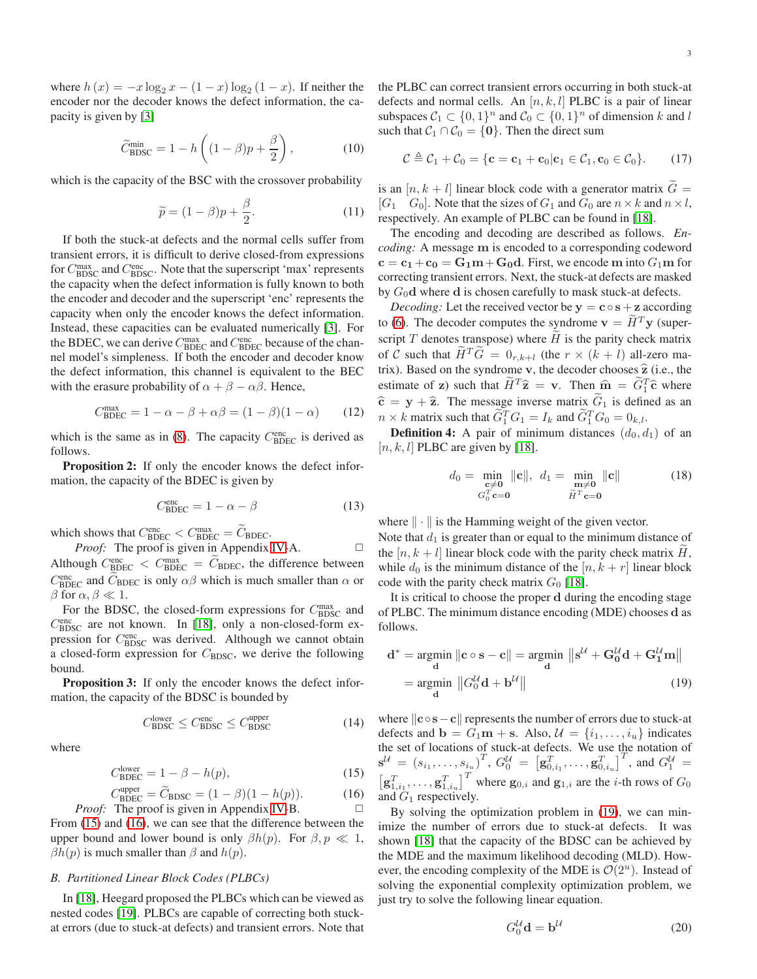where  $h(x) = -x \log_2 x - (1 - x) \log_2 (1 - x)$ . If neither the encoder nor the decoder knows the defect information, the capacity is given by [\[3\]](#page-10-2)

$$
\widetilde{C}_{\text{BDSC}}^{\min} = 1 - h\left((1 - \beta)p + \frac{\beta}{2}\right),\tag{10}
$$

which is the capacity of the BSC with the crossover probability

<span id="page-2-8"></span>
$$
\widetilde{p} = (1 - \beta)p + \frac{\beta}{2}.
$$
\n(11)

If both the stuck-at defects and the normal cells suffer from transient errors, it is difficult to derive closed-from expressions for  $C_{\text{BDSC}}^{\text{max}}$  and  $C_{\text{BDSC}}^{\text{enc}}$ . Note that the superscript 'max' represents the capacity when the defect information is fully known to both the encoder and decoder and the superscript 'enc' represents the capacity when only the encoder knows the defect information. Instead, these capacities can be evaluated numerically [\[3\]](#page-10-2). For the BDEC, we can derive  $C_{\text{BDEC}}^{\text{max}}$  and  $C_{\text{BDEC}}^{\text{enc}}$  because of the channel model's simpleness. If both the encoder and decoder know the defect information, this channel is equivalent to the BEC with the erasure probability of  $\alpha + \beta - \alpha \beta$ . Hence,

<span id="page-2-9"></span>
$$
C_{\text{BDEC}}^{\text{max}} = 1 - \alpha - \beta + \alpha\beta = (1 - \beta)(1 - \alpha) \tag{12}
$$

which is the same as in [\(8\)](#page-1-3). The capacity  $C_{\text{BDEC}}^{\text{enc}}$  is derived as follows.

Proposition 2: If only the encoder knows the defect information, the capacity of the BDEC is given by

<span id="page-2-7"></span>
$$
C_{\text{BDEC}}^{\text{enc}} = 1 - \alpha - \beta \tag{13}
$$

which shows that  $C_{\text{BDEC}}^{\text{enc}} < C_{\text{BDEC}}^{\text{max}} = \tilde{C}_{\text{BDEC}}$ .

*Proof:* The proof is given in Appendix [IV-](#page-8-1)A.  $\square$ Although  $C_{\text{BDEC}}^{\text{enc}} < C_{\text{BDEC}}^{\text{max}} = \tilde{C}_{\text{BDEC}}$ , the difference between  $C_{\text{BDEC}}^{\text{enc}}$  and  $\tilde{C}_{\text{BDEC}}$  is only  $\alpha\beta$  which is much smaller than  $\alpha$  or  $\beta$  for  $\alpha, \beta \ll 1$ .

For the BDSC, the closed-form expressions for  $C_{\text{BDSC}}^{\text{max}}$  and C<sub>BDSC</sub> are not known. In [\[18\]](#page-11-5), only a non-closed-form expression for C<sub>BDSC</sub> was derived. Although we cannot obtain a closed-form expression for  $C_{\text{BDSC}}$ , we derive the following bound.

<span id="page-2-10"></span>Proposition 3: If only the encoder knows the defect information, the capacity of the BDSC is bounded by

<span id="page-2-11"></span>
$$
C_{\rm BDSC}^{\rm lower} \le C_{\rm BDSC}^{\rm enc} \le C_{\rm BDSC}^{\rm upper} \tag{14}
$$

where

$$
C_{\text{BDEC}}^{\text{lower}} = 1 - \beta - h(p),\tag{15}
$$

$$
C_{\text{BDEC}}^{\text{upper}} = \widetilde{C}_{\text{BDSC}} = (1 - \beta)(1 - h(p)). \tag{16}
$$
  
*Proof:* The proof is given in Appendix IV-B.

From [\(15\)](#page-2-0) and [\(16\)](#page-2-1), we can see that the difference between the upper bound and lower bound is only  $\beta h(p)$ . For  $\beta, p \ll 1$ ,  $\beta h(p)$  is much smaller than  $\beta$  and  $h(p)$ .

# <span id="page-2-6"></span>*B. Partitioned Linear Block Codes (PLBCs)*

In [\[18\]](#page-11-5), Heegard proposed the PLBCs which can be viewed as nested codes [\[19\]](#page-11-6). PLBCs are capable of correcting both stuckat errors (due to stuck-at defects) and transient errors. Note that the PLBC can correct transient errors occurring in both stuck-at defects and normal cells. An  $[n, k, l]$  PLBC is a pair of linear subspaces  $C_1 \subset \{0,1\}^n$  and  $C_0 \subset \{0,1\}^n$  of dimension k and l such that  $C_1 \cap C_0 = \{0\}$ . Then the direct sum

<span id="page-2-5"></span>
$$
C \triangleq C_1 + C_0 = \{ \mathbf{c} = \mathbf{c}_1 + \mathbf{c}_0 | \mathbf{c}_1 \in C_1, \mathbf{c}_0 \in C_0 \}. \tag{17}
$$

is an  $[n, k+l]$  linear block code with a generator matrix  $\tilde{G}$  =  $[G_1 \quad G_0]$ . Note that the sizes of  $G_1$  and  $G_0$  are  $n \times k$  and  $n \times l$ , respectively. An example of PLBC can be found in [\[18\]](#page-11-5).

The encoding and decoding are described as follows. *Encoding:* A message m is encoded to a corresponding codeword  $c = c_1 + c_0 = G_1 m + G_0 d$ . First, we encode m into  $G_1 m$  for correcting transient errors. Next, the stuck-at defects are masked by  $G_0$ **d** where **d** is chosen carefully to mask stuck-at defects.

*Decoding:* Let the received vector be  $y = c \circ s + z$  according to [\(6\)](#page-1-4). The decoder computes the syndrome  $v = \widetilde{H}^{T} y$  (superscript  $T$  denotes transpose) where  $H$  is the parity check matrix of C such that  $\widetilde{H}^T\widetilde{G} = 0_{r,k+l}$  (the  $r \times (k+l)$  all-zero matrix). Based on the syndrome v, the decoder chooses  $\hat{z}$  (i.e., the estimate of z) such that  $\widetilde{H}^T \widehat{\mathbf{z}} = \mathbf{v}$ . Then  $\widehat{\mathbf{m}} = \widetilde{G}_1^T \widehat{\mathbf{c}}$  where  $\hat{\mathbf{c}} = \mathbf{y} + \hat{\mathbf{z}}$ . The message inverse matrix  $\widetilde{G}_1$  is defined as an  $n \times k$  matrix such that  $\widehat{G}_1^T G_1 = I_k$  and  $\widehat{G}_1^T G_0 = 0_{k,l}$ .

**Definition 4:** A pair of minimum distances  $(d_0, d_1)$  of an  $[n, k, l]$  PLBC are given by [\[18\]](#page-11-5).

<span id="page-2-4"></span>
$$
d_0 = \min_{\substack{\mathbf{c} \neq \mathbf{0} \\ G_0^T \mathbf{c} = \mathbf{0}}} ||\mathbf{c}||, \quad d_1 = \min_{\substack{\mathbf{m} \neq \mathbf{0} \\ \widetilde{H}^T \mathbf{c} = \mathbf{0}}} ||\mathbf{c}|| \tag{18}
$$

where  $\|\cdot\|$  is the Hamming weight of the given vector.

Note that  $d_1$  is greater than or equal to the minimum distance of the  $[n, k+l]$  linear block code with the parity check matrix H, while  $d_0$  is the minimum distance of the  $[n, k + r]$  linear block code with the parity check matrix  $G_0$  [\[18\]](#page-11-5).

It is critical to choose the proper d during the encoding stage of PLBC. The minimum distance encoding (MDE) chooses d as follows.

<span id="page-2-2"></span>
$$
\mathbf{d}^* = \underset{\mathbf{d}}{\operatorname{argmin}} \|\mathbf{c} \circ \mathbf{s} - \mathbf{c}\| = \underset{\mathbf{d}}{\operatorname{argmin}} \|\mathbf{s}^{\mathcal{U}} + \mathbf{G}_0^{\mathcal{U}} \mathbf{d} + \mathbf{G}_1^{\mathcal{U}} \mathbf{m}\|
$$
  
= 
$$
\underset{\mathbf{d}}{\operatorname{argmin}} \|\mathbf{G}_0^{\mathcal{U}} \mathbf{d} + \mathbf{b}^{\mathcal{U}}\|
$$
(19)

where  $\|$ **c**  $\circ$ **s**  $\sim$  **c** $\|$  represents the number of errors due to stuck-at defects and  $\mathbf{b} = G_1 \mathbf{m} + \mathbf{s}$ . Also,  $\mathcal{U} = \{i_1, \dots, i_u\}$  indicates the set of locations of stuck-at defects. We use the notation of  $\mathbf{s}^{\mathcal{U}}\,=\, \left(s_{i_1},\ldots,s_{i_u}\right)^T\!,\, G_0^{\mathcal{U}}\,=\, \left[\mathbf{g}_{0,i_1}^T,\ldots,\mathbf{g}_{0,i_u}^T\right]^T\!,\, \text{and}\,\, G_1^{\mathcal{U}}\,=\, 1$  $\left[\mathbf{g}_{1,i_1}^T, \ldots, \mathbf{g}_{1,i_u}^T\right]^T$  where  $\mathbf{g}_{0,i}$  and  $\mathbf{g}_{1,i}$  are the *i*-th rows of  $G_0$ and  $G_1$  respectively.

<span id="page-2-1"></span><span id="page-2-0"></span>By solving the optimization problem in [\(19\)](#page-2-2), we can minimize the number of errors due to stuck-at defects. It was shown [\[18\]](#page-11-5) that the capacity of the BDSC can be achieved by the MDE and the maximum likelihood decoding (MLD). However, the encoding complexity of the MDE is  $\mathcal{O}(2^u)$ . Instead of solving the exponential complexity optimization problem, we just try to solve the following linear equation.

<span id="page-2-3"></span>
$$
G_0^{\mathcal{U}} \mathbf{d} = \mathbf{b}^{\mathcal{U}} \tag{20}
$$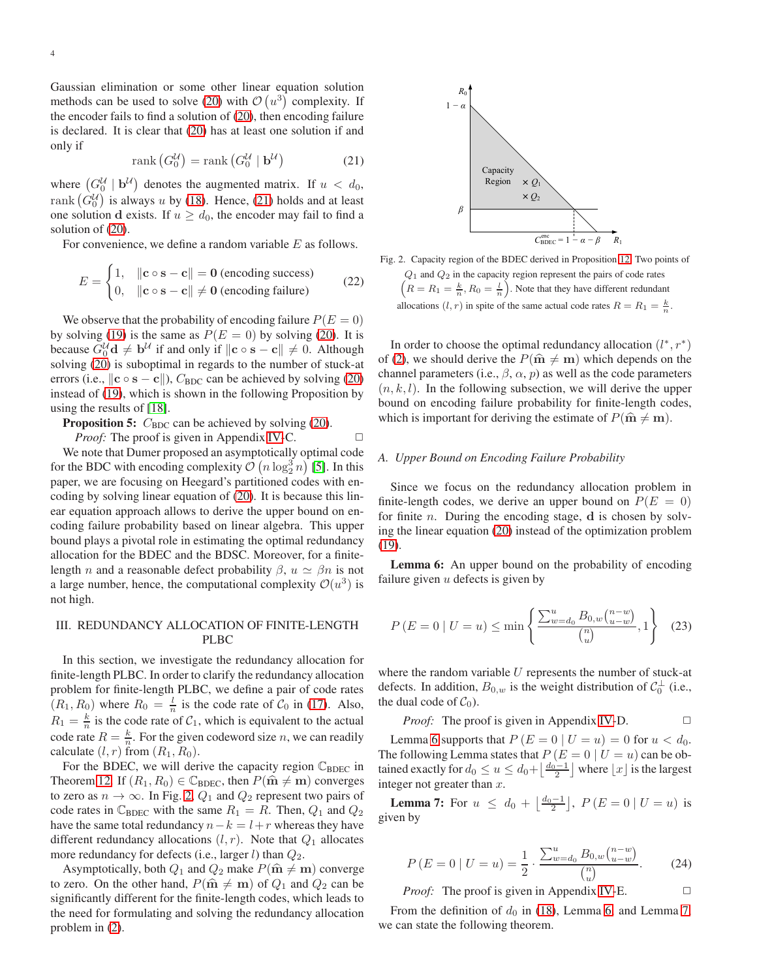Gaussian elimination or some other linear equation solution methods can be used to solve [\(20\)](#page-2-3) with  $\mathcal{O}(u^3)$  complexity. If the encoder fails to find a solution of [\(20\)](#page-2-3), then encoding failure is declared. It is clear that [\(20\)](#page-2-3) has at least one solution if and only if

<span id="page-3-1"></span>
$$
rank (G_0^{\mathcal{U}}) = rank (G_0^{\mathcal{U}} \mid \mathbf{b}^{\mathcal{U}})
$$
 (21)

where  $(G_0^{\mathcal{U}} \mid \mathbf{b}^{\mathcal{U}})$  denotes the augmented matrix. If  $u < d_0$ , rank  $(\hat{G}_0^{\mathcal{U}})$  is always u by [\(18\)](#page-2-4). Hence, [\(21\)](#page-3-1) holds and at least one solution d exists. If  $u \geq d_0$ , the encoder may fail to find a solution of [\(20\)](#page-2-3).

For convenience, we define a random variable E as follows.

$$
E = \begin{cases} 1, & ||\mathbf{c} \circ \mathbf{s} - \mathbf{c}|| = \mathbf{0} \text{ (encoding success)} \\ 0, & ||\mathbf{c} \circ \mathbf{s} - \mathbf{c}|| \neq \mathbf{0} \text{ (encoding failure)} \end{cases} \tag{22}
$$

We observe that the probability of encoding failure  $P(E = 0)$ by solving [\(19\)](#page-2-2) is the same as  $P(E = 0)$  by solving [\(20\)](#page-2-3). It is because  $G_0^{\mathcal{U}} \mathbf{d} \neq \mathbf{b}^{\mathcal{U}}$  if and only if  $\|\mathbf{c} \circ \mathbf{s} - \mathbf{c}\| \neq 0$ . Although solving [\(20\)](#page-2-3) is suboptimal in regards to the number of stuck-at errors (i.e.,  $\Vert \mathbf{c} \circ \mathbf{s} - \mathbf{c} \Vert$ ),  $C_{\text{BDC}}$  can be achieved by solving [\(20\)](#page-2-3) instead of [\(19\)](#page-2-2), which is shown in the following Proposition by using the results of [\[18\]](#page-11-5).

<span id="page-3-6"></span>**Proposition 5:**  $C_{\text{BDC}}$  can be achieved by solving [\(20\)](#page-2-3).

*Proof:* The proof is given in Appendix [IV-](#page-8-3)C.  $\Box$ We note that Dumer proposed an asymptotically optimal code for the BDC with encoding complexity  $\mathcal{O}(n \log_2^3 n)$  [\[5\]](#page-10-4). In this paper, we are focusing on Heegard's partitioned codes with encoding by solving linear equation of [\(20\)](#page-2-3). It is because this linear equation approach allows to derive the upper bound on encoding failure probability based on linear algebra. This upper bound plays a pivotal role in estimating the optimal redundancy allocation for the BDEC and the BDSC. Moreover, for a finitelength *n* and a reasonable defect probability  $\beta$ ,  $u \simeq \beta n$  is not a large number, hence, the computational complexity  $\mathcal{O}(u^3)$  is not high.

# <span id="page-3-0"></span>III. REDUNDANCY ALLOCATION OF FINITE-LENGTH PLBC

In this section, we investigate the redundancy allocation for finite-length PLBC. In order to clarify the redundancy allocation problem for finite-length PLBC, we define a pair of code rates  $(R_1, R_0)$  where  $R_0 = \frac{l}{n}$  is the code rate of  $C_0$  in [\(17\)](#page-2-5). Also,  $R_1 = \frac{k}{n}$  is the code rate of  $C_1$ , which is equivalent to the actual code rate  $R = \frac{k}{n}$ . For the given codeword size *n*, we can readily calculate  $(l, r)$  from  $(R_1, R_0)$ .

For the BDEC, we will derive the capacity region  $\mathbb{C}_{\text{BDEC}}$  in Theorem [12.](#page-5-0) If  $(R_1, R_0) \in \mathbb{C}_{BDEC}$ , then  $P(\hat{\mathbf{m}} \neq \mathbf{m})$  converges to zero as  $n \to \infty$ . In Fig. [2,](#page-3-2)  $Q_1$  and  $Q_2$  represent two pairs of code rates in  $\mathbb{C}_{\text{BDEC}}$  with the same  $R_1 = R$ . Then,  $Q_1$  and  $Q_2$ have the same total redundancy  $n-k = l+r$  whereas they have different redundancy allocations  $(l, r)$ . Note that  $Q_1$  allocates more redundancy for defects (i.e., larger  $l$ ) than  $Q_2$ .

Asymptotically, both  $Q_1$  and  $Q_2$  make  $P(\hat{\mathbf{m}} \neq \mathbf{m})$  converge to zero. On the other hand,  $P(\hat{\mathbf{m}} \neq \mathbf{m})$  of  $Q_1$  and  $Q_2$  can be significantly different for the finite-length codes, which leads to the need for formulating and solving the redundancy allocation problem in [\(2\)](#page-1-5).



<span id="page-3-2"></span>Fig. 2. Capacity region of the BDEC derived in Proposition [12.](#page-5-0) Two points of  $Q_1$  and  $Q_2$  in the capacity region represent the pairs of code rates  $\left(R = R_1 = \frac{k}{n}, R_0 = \frac{l}{n}\right)$ . Note that they have different redundant allocations  $(l, r)$  in spite of the same actual code rates  $R = R_1 = \frac{k}{n}$ .

In order to choose the optimal redundancy allocation  $(l^*, r^*)$ of [\(2\)](#page-1-5), we should derive the  $P(\hat{\mathbf{m}} \neq \mathbf{m})$  which depends on the channel parameters (i.e.,  $\beta$ ,  $\alpha$ ,  $p$ ) as well as the code parameters  $(n, k, l)$ . In the following subsection, we will derive the upper bound on encoding failure probability for finite-length codes, which is important for deriving the estimate of  $P(\hat{\mathbf{m}} \neq \mathbf{m})$ .

## *A. Upper Bound on Encoding Failure Probability*

Since we focus on the redundancy allocation problem in finite-length codes, we derive an upper bound on  $P(E = 0)$ for finite  $n$ . During the encoding stage,  $d$  is chosen by solving the linear equation [\(20\)](#page-2-3) instead of the optimization problem [\(19\)](#page-2-2).

<span id="page-3-3"></span>Lemma 6: An upper bound on the probability of encoding failure given  $u$  defects is given by

<span id="page-3-7"></span>
$$
P(E = 0 | U = u) \le \min\left\{\frac{\sum_{w=d_0}^{u} B_{0,w} {n-w \choose u-w}}{{n \choose u}}, 1\right\}
$$
(23)

where the random variable  $U$  represents the number of stuck-at defects. In addition,  $B_{0,w}$  is the weight distribution of  $C_0^{\perp}$  (i.e., the dual code of  $C_0$ ).

*Proof:* The proof is given in Appendix IV-D. 
$$
\Box
$$

Lemma [6](#page-3-3) supports that  $P(E = 0 | U = u) = 0$  for  $u < d_0$ . The following Lemma states that  $P(E = 0 | U = u)$  can be obtained exactly for  $d_0 \le u \le d_0 + \left\lfloor \frac{d_0 - 1}{2} \right\rfloor$  where  $\lfloor x \rfloor$  is the largest integer not greater than  $x$ .

<span id="page-3-4"></span>**Lemma 7:** For  $u \leq d_0 + \left\lfloor \frac{d_0 - 1}{2} \right\rfloor$ ,  $P(E = 0 | U = u)$  is given by

$$
P(E = 0 | U = u) = \frac{1}{2} \cdot \frac{\sum_{w=d_0}^{u} B_{0,w} {n-w \choose u-w}}{{n \choose u}}.
$$
 (24)

*Proof:* The proof is given in Appendix [IV-](#page-9-0)E.  $\Box$ 

<span id="page-3-5"></span>From the definition of  $d_0$  in [\(18\)](#page-2-4), Lemma [6,](#page-3-3) and Lemma [7,](#page-3-4) we can state the following theorem.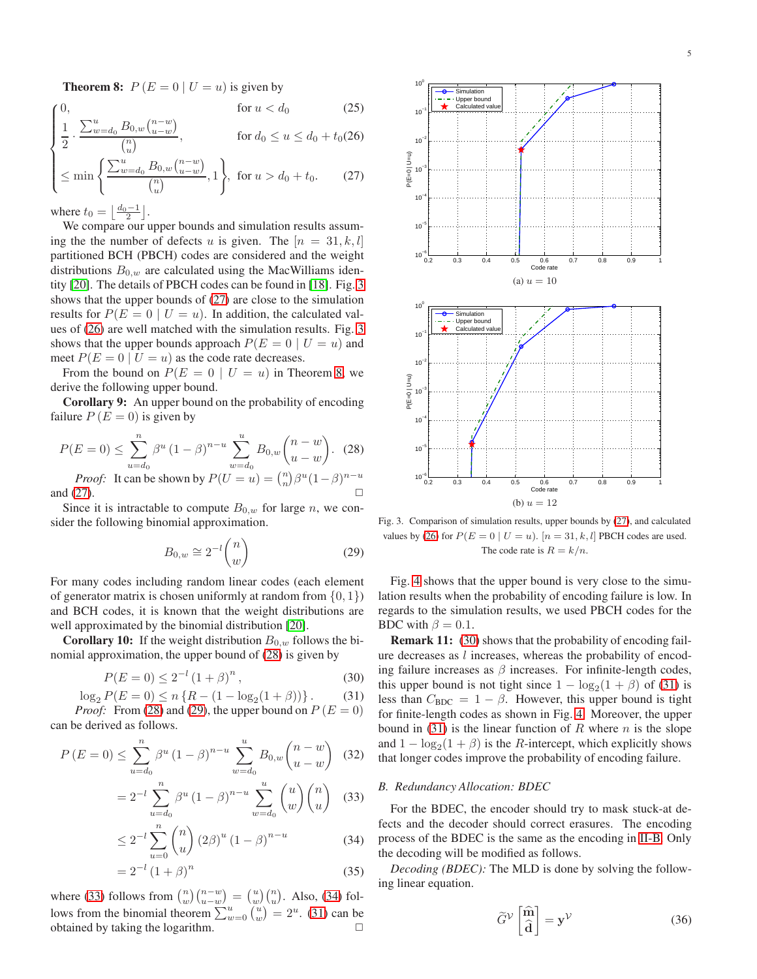**Theorem 8:**  $P(E = 0 | U = u)$  is given by

$$
\begin{cases}\n0, & \text{for } u < d_0 \\
1, \sum_{m=1}^u B_{0,m}(n-w)\n\end{cases}
$$
\n(25)

$$
\frac{1}{2} \cdot \frac{\sum_{w=d_0}^{u} B_{0,w} {n-w \choose u-w}}{\binom{n}{u}}, \quad \text{for } d_0 \le u \le d_0 + t_0(26)
$$

$$
\left\{ \leq \min\left\{ \frac{\sum_{w=d_0}^{u} B_{0,w} {n-w \choose u-w}}{\binom{n}{u}}, 1 \right\}, \text{ for } u > d_0 + t_0. \tag{27}
$$

where  $t_0 = \left\lfloor \frac{d_0 - 1}{2} \right\rfloor$ .

We compare our upper bounds and simulation results assuming the the number of defects u is given. The  $[n = 31, k, l]$ partitioned BCH (PBCH) codes are considered and the weight distributions  $B_{0,w}$  are calculated using the MacWilliams identity [\[20\]](#page-11-7). The details of PBCH codes can be found in [\[18\]](#page-11-5). Fig. [3](#page-4-0) shows that the upper bounds of [\(27\)](#page-3-5) are close to the simulation results for  $P(E = 0 | U = u)$ . In addition, the calculated values of [\(26\)](#page-3-5) are well matched with the simulation results. Fig. [3](#page-4-0) shows that the upper bounds approach  $P(E = 0 | U = u)$  and meet  $P(E = 0 | U = u)$  as the code rate decreases.

From the bound on  $P(E = 0 | U = u)$  in Theorem [8,](#page-3-5) we derive the following upper bound.

<span id="page-4-8"></span>Corollary 9: An upper bound on the probability of encoding failure  $P(E = 0)$  is given by

$$
P(E=0) \le \sum_{u=d_0}^n \beta^u (1-\beta)^{n-u} \sum_{w=d_0}^u B_{0,w} \binom{n-w}{u-w}.
$$
 (28)  
*Proof:* It can be shown by  $P(U=u) = \binom{n}{n} \beta^u (1-\beta)^{n-u}$ 

and [\(27\)](#page-3-5).  $\Box$ 

Since it is intractable to compute  $B_{0,w}$  for large n, we consider the following binomial approximation.

<span id="page-4-2"></span>
$$
B_{0,w} \cong 2^{-l} \binom{n}{w} \tag{29}
$$

For many codes including random linear codes (each element of generator matrix is chosen uniformly at random from  $\{0, 1\}$ ) and BCH codes, it is known that the weight distributions are well approximated by the binomial distribution [\[20\]](#page-11-7).

<span id="page-4-9"></span>**Corollary 10:** If the weight distribution  $B_{0,w}$  follows the binomial approximation, the upper bound of [\(28\)](#page-4-1) is given by

$$
P(E = 0) \le 2^{-l} (1 + \beta)^n, \tag{30}
$$

$$
\log_2 P(E=0) \le n \left\{ R - (1 - \log_2(1 + \beta)) \right\}.
$$
 (31)

*Proof:* From [\(28\)](#page-4-1) and [\(29\)](#page-4-2), the upper bound on  $P(E = 0)$ can be derived as follows.

$$
P(E = 0) \le \sum_{u=d_0}^{n} \beta^u (1 - \beta)^{n-u} \sum_{w=d_0}^{u} B_{0,w} \binom{n-w}{u-w} \tag{32}
$$

$$
=2^{-l}\sum_{u=d_0}^{n}\beta^u(1-\beta)^{n-u}\sum_{w=d_0}^{u}\binom{u}{w}\binom{n}{u} \quad (33)
$$

$$
\leq 2^{-l} \sum_{u=0}^{n} {n \choose u} (2\beta)^u (1-\beta)^{n-u} \tag{34}
$$

$$
=2^{-l}(1+\beta)^n
$$
\n(35)

where [\(33\)](#page-4-3) follows from  $\binom{n}{w}\binom{n-w}{u-w} = \binom{u}{w}\binom{n}{u}$ . Also, [\(34\)](#page-4-4) follows from the binomial theorem  $\sum_{w=0}^{u} \binom{u}{w} = 2^u$ . [\(31\)](#page-4-5) can be obtained by taking the logarithm.  $\Box$ 



<span id="page-4-1"></span><span id="page-4-0"></span>Fig. 3. Comparison of simulation results, upper bounds by [\(27\)](#page-3-5), and calculated values by [\(26\)](#page-3-5) for  $P(E = 0 | U = u)$ . [ $n = 31, k, l$ ] PBCH codes are used. The code rate is  $R = k/n$ .

Fig. [4](#page-5-1) shows that the upper bound is very close to the simulation results when the probability of encoding failure is low. In regards to the simulation results, we used PBCH codes for the BDC with  $\beta = 0.1$ .

<span id="page-4-6"></span><span id="page-4-5"></span>Remark 11: [\(30\)](#page-4-6) shows that the probability of encoding failure decreases as l increases, whereas the probability of encoding failure increases as  $\beta$  increases. For infinite-length codes, this upper bound is not tight since  $1 - \log_2(1 + \beta)$  of [\(31\)](#page-4-5) is less than  $C_{\text{BDC}} = 1 - \beta$ . However, this upper bound is tight for finite-length codes as shown in Fig. [4.](#page-5-1) Moreover, the upper bound in [\(31\)](#page-4-5) is the linear function of R where  $n$  is the slope and  $1 - \log_2(1 + \beta)$  is the *R*-intercept, which explicitly shows that longer codes improve the probability of encoding failure.

## <span id="page-4-3"></span>*B. Redundancy Allocation: BDEC*

<span id="page-4-4"></span>For the BDEC, the encoder should try to mask stuck-at defects and the decoder should correct erasures. The encoding process of the BDEC is the same as the encoding in [II-B.](#page-2-6) Only the decoding will be modified as follows.

*Decoding (BDEC):* The MLD is done by solving the following linear equation.

<span id="page-4-7"></span>
$$
\widetilde{G}^{\mathcal{V}}\left[\widehat{\widehat{\mathbf{d}}}\right] = \mathbf{y}^{\mathcal{V}}\tag{36}
$$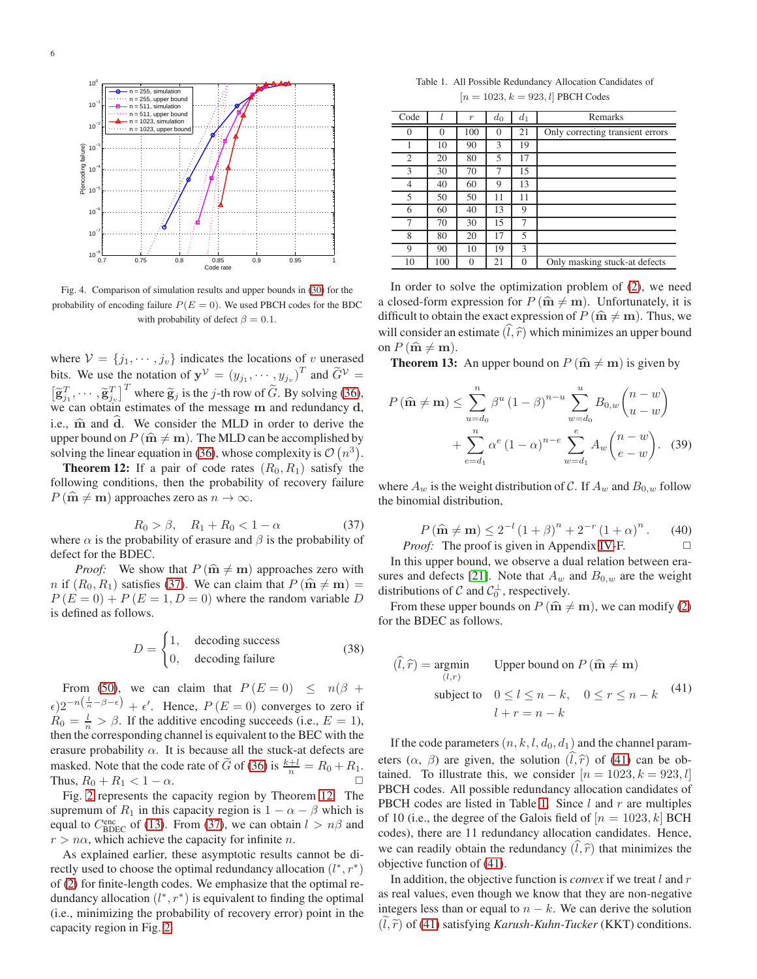

<span id="page-5-1"></span>Fig. 4. Comparison of simulation results and upper bounds in [\(30\)](#page-4-6) for the probability of encoding failure  $P(E = 0)$ . We used PBCH codes for the BDC with probability of defect  $\beta = 0.1$ .

where  $V = \{j_1, \dots, j_v\}$  indicates the locations of v unerased bits. We use the notation of  $y^{\mathcal{V}} = (y_{j_1}, \dots, y_{j_v})^T$  and  $\widetilde{G}^{\mathcal{V}} =$  $\begin{bmatrix} \widetilde{\mathbf{g}}_{j1}^T, \cdots, \widetilde{\mathbf{g}}_{jv}^T \end{bmatrix}^T$  where  $\widetilde{\mathbf{g}}_j$  is the *j*-th row of  $\widetilde{G}$ . By solving [\(36\)](#page-4-7), we can obtain estimates of the message m and redundancy **d**, i.e.,  $\hat{m}$  and d. We consider the MLD in order to derive the upper bound on  $P(\hat{\mathbf{m}} \neq \mathbf{m})$ . The MLD can be accomplished by solving the linear equation in [\(36\)](#page-4-7), whose complexity is  $\mathcal{O}(n^3)$ .

<span id="page-5-0"></span>**Theorem 12:** If a pair of code rates  $(R_0, R_1)$  satisfy the following conditions, then the probability of recovery failure  $P(\hat{\mathbf{m}} \neq \mathbf{m})$  approaches zero as  $n \to \infty$ .

<span id="page-5-2"></span>
$$
R_0 > \beta, \quad R_1 + R_0 < 1 - \alpha \tag{37}
$$

where  $\alpha$  is the probability of erasure and  $\beta$  is the probability of defect for the BDEC.

*Proof:* We show that  $P(\hat{\mathbf{m}} \neq \mathbf{m})$  approaches zero with n if  $(R_0, R_1)$  satisfies [\(37\)](#page-5-2). We can claim that  $P(\hat{\mathbf{m}} \neq \mathbf{m}) =$  $P(E = 0) + P(E = 1, D = 0)$  where the random variable D is defined as follows.

$$
D = \begin{cases} 1, & \text{decoding success} \\ 0, & \text{decoding failure} \end{cases}
$$
 (38)

From [\(50\)](#page-8-5), we can claim that  $P(E = 0) \le n(\beta +$  $\epsilon$ )2<sup>-n( $\frac{l}{n}$ - $\beta$ - $\epsilon$ ) +  $\epsilon'$ . Hence,  $P(E=0)$  converges to zero if</sup>  $R_0 = \frac{l}{n} > \beta$ . If the additive encoding succeeds (i.e.,  $E = 1$ ), then the corresponding channel is equivalent to the BEC with the erasure probability  $\alpha$ . It is because all the stuck-at defects are masked. Note that the code rate of  $\tilde{G}$  of [\(36\)](#page-4-7) is  $\frac{k+l}{n} = R_0 + R_1$ . Thus,  $R_0 + R_1 < 1 - \alpha$ .

Fig. [2](#page-3-2) represents the capacity region by Theorem [12.](#page-5-0) The supremum of  $R_1$  in this capacity region is  $1 - \alpha - \beta$  which is equal to  $C_{\text{BDEC}}^{\text{enc}}$  of [\(13\)](#page-2-7). From [\(37\)](#page-5-2), we can obtain  $l > n\beta$  and  $r > n\alpha$ , which achieve the capacity for infinite n.

As explained earlier, these asymptotic results cannot be directly used to choose the optimal redundancy allocation  $(l^*, r^*)$ of [\(2\)](#page-1-5) for finite-length codes. We emphasize that the optimal redundancy allocation  $(l^*, r^*)$  is equivalent to finding the optimal (i.e., minimizing the probability of recovery error) point in the capacity region in Fig. [2.](#page-3-2)

<span id="page-5-4"></span>Table 1. All Possible Redundancy Allocation Candidates of  $[n = 1023, k = 923, l]$  PBCH Codes

| Code           |          | $\boldsymbol{r}$ | $d_0$    | $d_1$    | Remarks                          |
|----------------|----------|------------------|----------|----------|----------------------------------|
| $\Omega$       | $\Omega$ | 100              | $\Omega$ | 21       | Only correcting transient errors |
|                | 10       | 90               | 3        | 19       |                                  |
| $\overline{2}$ | 20       | 80               | 5        | 17       |                                  |
| 3              | 30       | 70               | 7        | 15       |                                  |
| $\overline{4}$ | 40       | 60               | 9        | 13       |                                  |
| 5              | 50       | 50               | 11       | 11       |                                  |
| 6              | 60       | 40               | 13       | 9        |                                  |
| 7              | 70       | 30               | 15       | 7        |                                  |
| 8              | 80       | 20               | 17       | 5        |                                  |
| 9              | 90       | 10               | 19       | 3        |                                  |
| 10             | 100      | $\theta$         | 21       | $\Omega$ | Only masking stuck-at defects    |

In order to solve the optimization problem of [\(2\)](#page-1-5), we need a closed-form expression for  $P(\hat{\mathbf{m}} \neq \mathbf{m})$ . Unfortunately, it is difficult to obtain the exact expression of  $P(\hat{\mathbf{m}} \neq \mathbf{m})$ . Thus, we will consider an estimate  $(\hat{l}, \hat{r})$  which minimizes an upper bound on  $P(\hat{\mathbf{m}} \neq \mathbf{m})$ .

<span id="page-5-6"></span>**Theorem 13:** An upper bound on  $P(\hat{\mathbf{m}} \neq \mathbf{m})$  is given by

$$
P\left(\widehat{\mathbf{m}} \neq \mathbf{m}\right) \leq \sum_{u=d_0}^n \beta^u \left(1-\beta\right)^{n-u} \sum_{w=d_0}^u B_{0,w} \binom{n-w}{u-w} + \sum_{e=d_1}^n \alpha^e \left(1-\alpha\right)^{n-e} \sum_{w=d_1}^e A_w \binom{n-w}{e-w}.
$$
 (39)

where  $A_w$  is the weight distribution of C. If  $A_w$  and  $B_{0,w}$  follow the binomial distribution,

$$
P(\hat{\mathbf{m}} \neq \mathbf{m}) \le 2^{-l} (1+\beta)^n + 2^{-r} (1+\alpha)^n.
$$
 (40)  
*Proof:* The proof is given in Appendix IV-F.

In this upper bound, we observe a dual relation between era-sures and defects [\[21\]](#page-11-8). Note that  $A_w$  and  $B_{0,w}$  are the weight distributions of C and  $C_0^{\perp}$ , respectively.

From these upper bounds on  $P(\hat{\mathbf{m}} \neq \mathbf{m})$ , we can modify [\(2\)](#page-1-5) for the BDEC as follows.

<span id="page-5-3"></span>
$$
(\hat{l}, \hat{r}) = \underset{(l,r)}{\text{argmin}} \qquad \text{Upper bound on } P \text{ (}\hat{\mathbf{m}} \neq \mathbf{m}\text{)}
$$
\n
$$
\text{subject to} \quad 0 \le l \le n - k, \quad 0 \le r \le n - k \qquad (41)
$$
\n
$$
l + r = n - k
$$

If the code parameters  $(n, k, l, d_0, d_1)$  and the channel parameters  $(\alpha, \beta)$  are given, the solution  $(\hat{l}, \hat{r})$  of [\(41\)](#page-5-3) can be obtained. To illustrate this, we consider  $[n = 1023, k = 923, l]$ PBCH codes. All possible redundancy allocation candidates of PBCH codes are listed in Table [1.](#page-5-4) Since  $l$  and  $r$  are multiples of 10 (i.e., the degree of the Galois field of  $[n = 1023, k]$  BCH codes), there are 11 redundancy allocation candidates. Hence, we can readily obtain the redundancy  $(\hat{l}, \hat{r})$  that minimizes the objective function of [\(41\)](#page-5-3).

<span id="page-5-5"></span>In addition, the objective function is *convex* if we treat l and r as real values, even though we know that they are non-negative integers less than or equal to  $n - k$ . We can derive the solution  $(l, \tilde{r})$  of [\(41\)](#page-5-3) satisfying *Karush-Kuhn-Tucker* (KKT) conditions.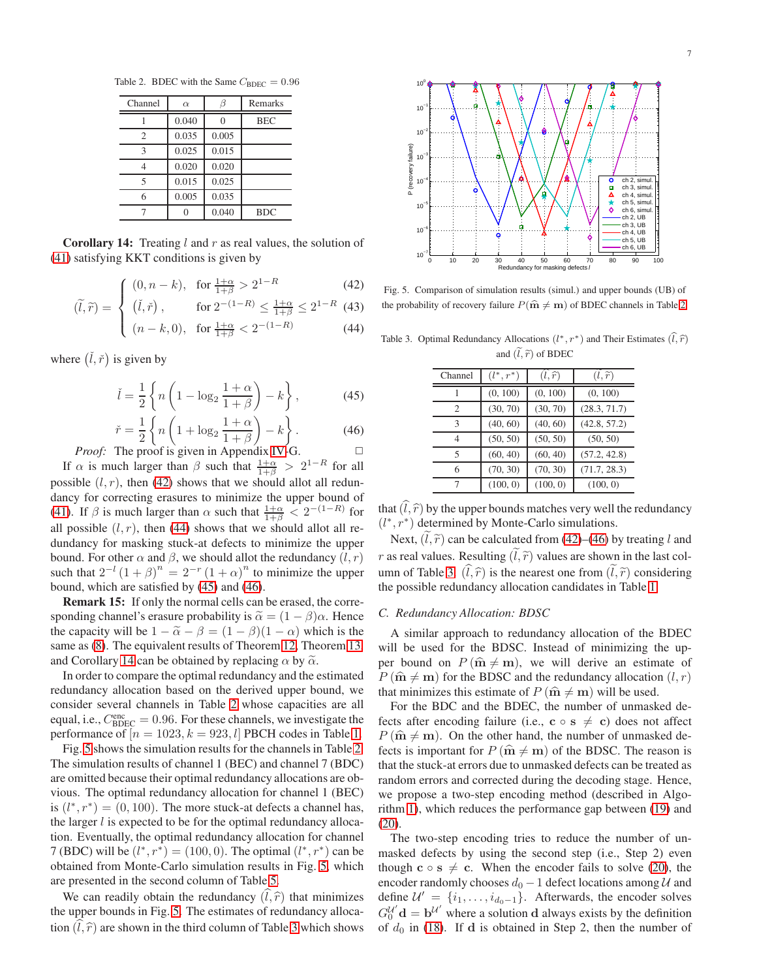Table 2. BDEC with the Same  $C_{BDEC} = 0.96$ 

<span id="page-6-2"></span>

| Channel        | $\alpha$ |       | Remarks    |
|----------------|----------|-------|------------|
|                | 0.040    |       | <b>BEC</b> |
| $\overline{c}$ | 0.035    | 0.005 |            |
| 3              | 0.025    | 0.015 |            |
|                | 0.020    | 0.020 |            |
| 5              | 0.015    | 0.025 |            |
|                | 0.005    | 0.035 |            |
|                |          | 0.040 | <b>BDC</b> |

**Corollary 14:** Treating  $l$  and  $r$  as real values, the solution of [\(41\)](#page-5-3) satisfying KKT conditions is given by

$$
\int (0, n-k), \text{ for } \frac{1+\alpha}{1+\beta} > 2^{1-R} \tag{42}
$$
  

$$
\int (\tilde{I} \times) \text{ for } 2^{-(1-R)} < 1+\alpha < 2^{1-R} \tag{43}
$$

$$
\tilde{f}(\tilde{r}) = \begin{cases} (\tilde{l}, \tilde{r}) \,, & \text{for } 2^{-(1-R)} \le \frac{1+\alpha}{1+\beta} \le 2^{1-R} \ (43) \\ (n-k, 0), & \text{for } \frac{1+\alpha}{1+\beta} < 2^{-(1-R)} \end{cases}
$$

$$
\left( (n-k,0), \text{ for } \frac{1+\alpha}{1+\beta} < 2^{-(1-R)} \right) \tag{44}
$$

where  $(\check{i}, \check{r})$  is given by

 $\hat{u}$ 

$$
\check{l} = \frac{1}{2} \left\{ n \left( 1 - \log_2 \frac{1 + \alpha}{1 + \beta} \right) - k \right\},\tag{45}
$$

$$
\check{r} = \frac{1}{2} \left\{ n \left( 1 + \log_2 \frac{1+\alpha}{1+\beta} \right) - k \right\}.
$$
 (46)

*Proof:* The proof is given in Appendix [IV-](#page-9-2)G. If  $\alpha$  is much larger than  $\beta$  such that  $\frac{1+\alpha}{1+\beta} > 2^{1-R}$  for all possible  $(l, r)$ , then [\(42\)](#page-5-5) shows that we should allot all redundancy for correcting erasures to minimize the upper bound of [\(41\)](#page-5-3). If  $\beta$  is much larger than  $\alpha$  such that  $\frac{1+\alpha}{1+\beta} < 2^{-(1-R)}$  for all possible  $(l, r)$ , then [\(44\)](#page-5-5) shows that we should allot all redundancy for masking stuck-at defects to minimize the upper bound. For other  $\alpha$  and  $\beta$ , we should allot the redundancy  $(l, r)$ such that  $2^{-l} (1 + \beta)^n = 2^{-r} (1 + \alpha)^n$  to minimize the upper bound, which are satisfied by [\(45\)](#page-6-0) and [\(46\)](#page-6-1).

Remark 15: If only the normal cells can be erased, the corresponding channel's erasure probability is  $\tilde{\alpha} = (1 - \beta)\alpha$ . Hence the capacity will be  $1 - \tilde{\alpha} - \beta = (1 - \beta)(1 - \alpha)$  which is the same as [\(8\)](#page-1-3). The equivalent results of Theorem [12,](#page-5-0) Theorem [13,](#page-5-6) and Corollary [14](#page-5-5) can be obtained by replacing  $\alpha$  by  $\tilde{\alpha}$ .

In order to compare the optimal redundancy and the estimated redundancy allocation based on the derived upper bound, we consider several channels in Table [2](#page-6-2) whose capacities are all equal, i.e.,  $C_{\text{BDEC}}^{\text{enc}} = 0.96$ . For these channels, we investigate the performance of  $[n = 1023, k = 923, l]$  PBCH codes in Table [1.](#page-5-4)

Fig. [5](#page-6-3) shows the simulation results for the channels in Table [2.](#page-6-2) The simulation results of channel 1 (BEC) and channel 7 (BDC) are omitted because their optimal redundancy allocations are obvious. The optimal redundancy allocation for channel 1 (BEC) is  $(l^*, r^*) = (0, 100)$ . The more stuck-at defects a channel has, the larger  $l$  is expected to be for the optimal redundancy allocation. Eventually, the optimal redundancy allocation for channel 7 (BDC) will be  $(l^*, r^*) = (100, 0)$ . The optimal  $(l^*, r^*)$  can be obtained from Monte-Carlo simulation results in Fig. [5,](#page-6-3) which are presented in the second column of Table [5.](#page-8-6)

We can readily obtain the redundancy  $(\hat{l}, \hat{r})$  that minimizes the upper bounds in Fig. [5.](#page-6-3) The estimates of redundancy allocation  $(l, \hat{r})$  are shown in the third column of Table [3](#page-6-4) which shows



<span id="page-6-3"></span>Fig. 5. Comparison of simulation results (simul.) and upper bounds (UB) of the probability of recovery failure  $P(\hat{\mathbf{m}} \neq \mathbf{m})$  of BDEC channels in Table [2.](#page-6-2)

<span id="page-6-0"></span>Table 3. Optimal Redundancy Allocations  $(l^*, r^*)$  and Their Estimates  $(\hat{l}, \hat{r})$ and  $(\tilde{l}, \tilde{r})$  of BDEC

<span id="page-6-4"></span>

| Channel        | $(l^*, r^*)$ | $(l,\widehat{r})$ | $(l,\widetilde{r})$ |
|----------------|--------------|-------------------|---------------------|
|                | (0, 100)     | (0, 100)          | (0, 100)            |
| $\mathfrak{D}$ | (30, 70)     | (30, 70)          | (28.3, 71.7)        |
| 3              | (40, 60)     | (40, 60)          | (42.8, 57.2)        |
| $\overline{4}$ | (50, 50)     | (50, 50)          | (50, 50)            |
| 5              | (60, 40)     | (60, 40)          | (57.2, 42.8)        |
| 6              | (70, 30)     | (70, 30)          | (71.7, 28.3)        |
| 7              | (100, 0)     | (100, 0)          | (100, 0)            |

<span id="page-6-1"></span>that  $(\hat{l}, \hat{r})$  by the upper bounds matches very well the redundancy  $(l^*, r^*)$  determined by Monte-Carlo simulations.

Next,  $(l, \tilde{r})$  can be calculated from [\(42\)](#page-5-5)–[\(46\)](#page-6-1) by treating l and r as real values. Resulting  $(\tilde{l}, \tilde{r})$  values are shown in the last col-umn of Table [3.](#page-6-4)  $(\hat{l}, \hat{r})$  is the nearest one from  $(\hat{l}, \hat{r})$  considering the possible redundancy allocation candidates in Table [1.](#page-5-4)

# *C. Redundancy Allocation: BDSC*

A similar approach to redundancy allocation of the BDEC will be used for the BDSC. Instead of minimizing the upper bound on  $P(\hat{\mathbf{m}} \neq \mathbf{m})$ , we will derive an estimate of  $P(\hat{\mathbf{m}} \neq \mathbf{m})$  for the BDSC and the redundancy allocation  $(l, r)$ that minimizes this estimate of  $P(\hat{\mathbf{m}} \neq \mathbf{m})$  will be used.

For the BDC and the BDEC, the number of unmasked defects after encoding failure (i.e.,  $c \circ s \neq c$ ) does not affect  $P(\hat{\mathbf{m}} \neq \mathbf{m})$ . On the other hand, the number of unmasked defects is important for  $P(\hat{\mathbf{m}} \neq \mathbf{m})$  of the BDSC. The reason is that the stuck-at errors due to unmasked defects can be treated as random errors and corrected during the decoding stage. Hence, we propose a two-step encoding method (described in Algorithm [1\)](#page-7-0), which reduces the performance gap between [\(19\)](#page-2-2) and [\(20\)](#page-2-3).

The two-step encoding tries to reduce the number of unmasked defects by using the second step (i.e., Step 2) even though  $c \circ s \neq c$ . When the encoder fails to solve [\(20\)](#page-2-3), the encoder randomly chooses  $d_0 - 1$  defect locations among  $U$  and define  $\mathcal{U}' = \{i_1, \ldots, i_{d_0-1}\}.$  Afterwards, the encoder solves  $G_0^{U'}$  d =  $\mathbf{b}^{U'}$  where a solution d always exists by the definition of  $d_0$  in [\(18\)](#page-2-4). If d is obtained in Step 2, then the number of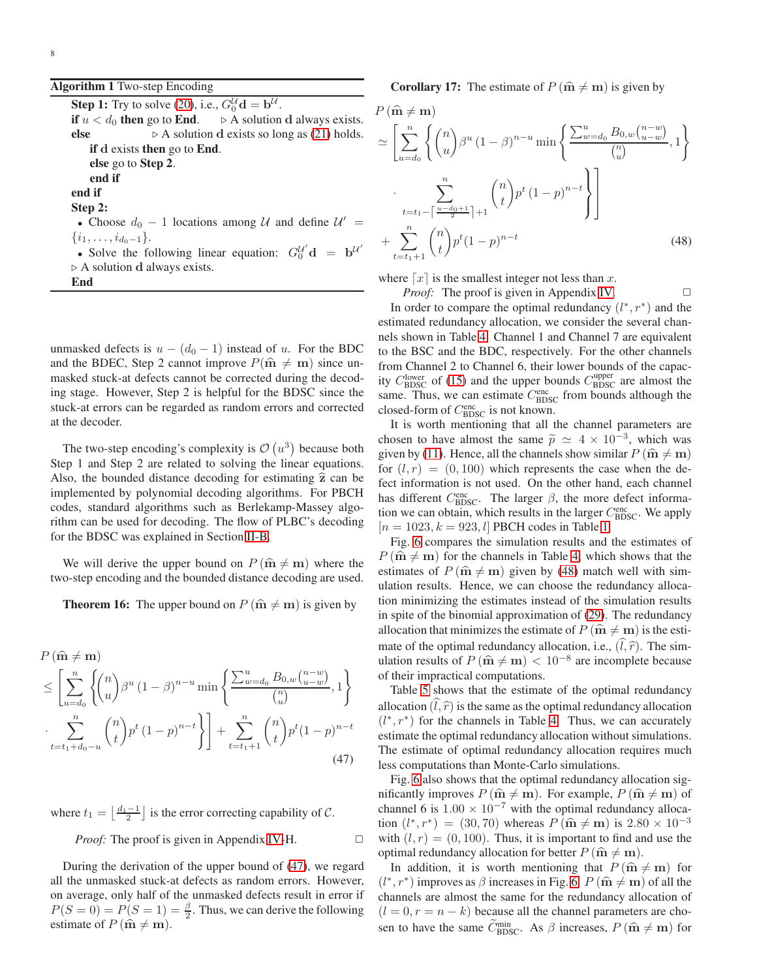# <span id="page-7-0"></span>Algorithm 1 Two-step Encoding

**Step 1:** Try to solve [\(20\)](#page-2-3), i.e.,  $G_0^{\mathcal{U}} \mathbf{d} = \mathbf{b}^{\mathcal{U}}$ . if  $u < d_0$  then go to End.  $\rightarrow$  A solution d always exists. else  $\rhd$  A solution d exists so long as [\(21\)](#page-3-1) holds. if d exists then go to End. else go to Step 2. end if end if Step 2: • Choose  $d_0 - 1$  locations among  $\mathcal U$  and define  $\mathcal U' =$  $\{i_1, \ldots, i_{d_0-1}\}.$ • Solve the following linear equation:  $G_0^{U'}$ **d** =  $\mathbf{b}^{U'}$ ⊲ A solution d always exists. End

unmasked defects is  $u - (d_0 - 1)$  instead of u. For the BDC and the BDEC, Step 2 cannot improve  $P(\hat{\mathbf{m}} \neq \mathbf{m})$  since unmasked stuck-at defects cannot be corrected during the decoding stage. However, Step 2 is helpful for the BDSC since the stuck-at errors can be regarded as random errors and corrected at the decoder.

The two-step encoding's complexity is  $\mathcal{O}(u^3)$  because both Step 1 and Step 2 are related to solving the linear equations. Also, the bounded distance decoding for estimating  $\hat{z}$  can be implemented by polynomial decoding algorithms. For PBCH codes, standard algorithms such as Berlekamp-Massey algorithm can be used for decoding. The flow of PLBC's decoding for the BDSC was explained in Section [II-B.](#page-2-6)

<span id="page-7-3"></span>We will derive the upper bound on  $P(\hat{\mathbf{m}} \neq \mathbf{m})$  where the two-step encoding and the bounded distance decoding are used.

**Theorem 16:** The upper bound on  $P(\hat{\mathbf{m}} \neq \mathbf{m})$  is given by

$$
P(\hat{\mathbf{m}} \neq \mathbf{m})
$$
  
\n
$$
\leq \left[ \sum_{u=d_0}^n \left\{ \binom{n}{u} \beta^u (1-\beta)^{n-u} \min \left\{ \frac{\sum_{w=d_0}^u B_{0,w} \binom{n-w}{u-w}}{\binom{n}{u}}, 1 \right\} \right\}
$$
  
\n
$$
\cdot \sum_{t=t_1+d_0-u}^n \binom{n}{t} p^t (1-p)^{n-t} \right\} + \sum_{t=t_1+1}^n \binom{n}{t} p^t (1-p)^{n-t}
$$
  
\n(47)

where  $t_1 = \left\lfloor \frac{d_1 - 1}{2} \right\rfloor$  is the error correcting capability of C.

*Proof:* The proof is given in Appendix [IV-](#page-10-6)H. □

<span id="page-7-4"></span>During the derivation of the upper bound of [\(47\)](#page-7-1), we regard all the unmasked stuck-at defects as random errors. However, on average, only half of the unmasked defects result in error if  $P(S = 0) = P(S = 1) = \frac{\beta}{2}$ . Thus, we can derive the following estimate of  $P(\hat{\mathbf{m}} \neq \mathbf{m})$ .

**Corollary 17:** The estimate of  $P(\hat{\mathbf{m}} \neq \mathbf{m})$  is given by

$$
P(\hat{\mathbf{m}} \neq \mathbf{m})
$$
  
\n
$$
\simeq \left[ \sum_{u=d_0}^n \left\{ {n \choose u} \beta^u (1-\beta)^{n-u} \min \left\{ \frac{\sum_{w=d_0}^u B_{0,w} {n-w \choose u-w}}{n \choose u}, 1 \right\} \right\}
$$
  
\n
$$
\cdot \sum_{t=t_1 - \left\lceil \frac{u-d_0+1}{2} \right\rceil+1}^n {n \choose t} p^t (1-p)^{n-t} \right\}
$$
  
\n
$$
+ \sum_{t=t_1+1}^n {n \choose t} p^t (1-p)^{n-t}
$$
(48)

where  $\lceil x \rceil$  is the smallest integer not less than x.

<span id="page-7-2"></span>*Proof:* The proof is given in Appendix [IV.](#page-10-6) □

In order to compare the optimal redundancy  $(l^*, r^*)$  and the estimated redundancy allocation, we consider the several channels shown in Table [4.](#page-8-7) Channel 1 and Channel 7 are equivalent to the BSC and the BDC, respectively. For the other channels from Channel 2 to Channel 6, their lower bounds of the capacity  $C_{\text{BDSC}}^{\text{lower}}$  of [\(15\)](#page-2-0) and the upper bounds  $C_{\text{BDSC}}^{\text{upper}}$  are almost the same. Thus, we can estimate  $C_{\text{BDSC}}^{\text{enc}}$  from bounds although the closed-form of  $C_{\text{BDSC}}^{\text{enc}}$  is not known.

It is worth mentioning that all the channel parameters are chosen to have almost the same  $\tilde{p} \simeq 4 \times 10^{-3}$ , which was given by [\(11\)](#page-2-8). Hence, all the channels show similar  $P(\hat{\mathbf{m}} \neq \mathbf{m})$ for  $(l, r) = (0, 100)$  which represents the case when the defect information is not used. On the other hand, each channel has different  $C_{\text{BDSC}}^{\text{enc}}$ . The larger  $\beta$ , the more defect information we can obtain, which results in the larger  $C_{\text{BDSC}}^{\text{enc}}$ . We apply  $[n = 1023, k = 923, l]$  PBCH codes in Table [1.](#page-5-4)

Fig. [6](#page-8-8) compares the simulation results and the estimates of  $P(\hat{\mathbf{m}} \neq \mathbf{m})$  for the channels in Table [4,](#page-8-7) which shows that the estimates of  $P(\hat{\mathbf{m}} \neq \mathbf{m})$  given by [\(48\)](#page-7-2) match well with simulation results. Hence, we can choose the redundancy allocation minimizing the estimates instead of the simulation results in spite of the binomial approximation of [\(29\)](#page-4-2). The redundancy allocation that minimizes the estimate of  $P(\hat{\mathbf{m}} \neq \mathbf{m})$  is the estimate of the optimal redundancy allocation, i.e.,  $(\hat{l}, \hat{r})$ . The simulation results of  $P(\hat{\mathbf{m}} \neq \mathbf{m}) < 10^{-8}$  are incomplete because of their impractical computations.

Table [5](#page-8-6) shows that the estimate of the optimal redundancy allocation  $(\hat{l}, \hat{r})$  is the same as the optimal redundancy allocation  $(l^*, r^*)$  for the channels in Table [4.](#page-8-7) Thus, we can accurately estimate the optimal redundancy allocation without simulations. The estimate of optimal redundancy allocation requires much less computations than Monte-Carlo simulations.

<span id="page-7-1"></span>Fig. [6](#page-8-8) also shows that the optimal redundancy allocation significantly improves  $P(\hat{\mathbf{m}} \neq \mathbf{m})$ . For example,  $P(\hat{\mathbf{m}} \neq \mathbf{m})$  of channel 6 is  $1.00 \times 10^{-7}$  with the optimal redundancy allocation  $(l^*, r^*) = (30, 70)$  whereas  $P(\hat{\mathbf{m}} \neq \mathbf{m})$  is  $2.80 \times 10^{-3}$ with  $(l, r) = (0, 100)$ . Thus, it is important to find and use the optimal redundancy allocation for better  $P(\hat{\mathbf{m}} \neq \mathbf{m})$ .

In addition, it is worth mentioning that  $P(\hat{\mathbf{m}} \neq \mathbf{m})$  for  $(l^*, r^*)$  improves as  $\beta$  increases in Fig. [6.](#page-8-8)  $P(\hat{\mathbf{m}} \neq \mathbf{m})$  of all the channels are almost the same for the redundancy allocation of  $(l = 0, r = n - k)$  because all the channel parameters are chosen to have the same  $\tilde{C}_{\text{BDSC}}^{\text{min}}$ . As  $\beta$  increases,  $P(\hat{\mathbf{m}} \neq \mathbf{m})$  for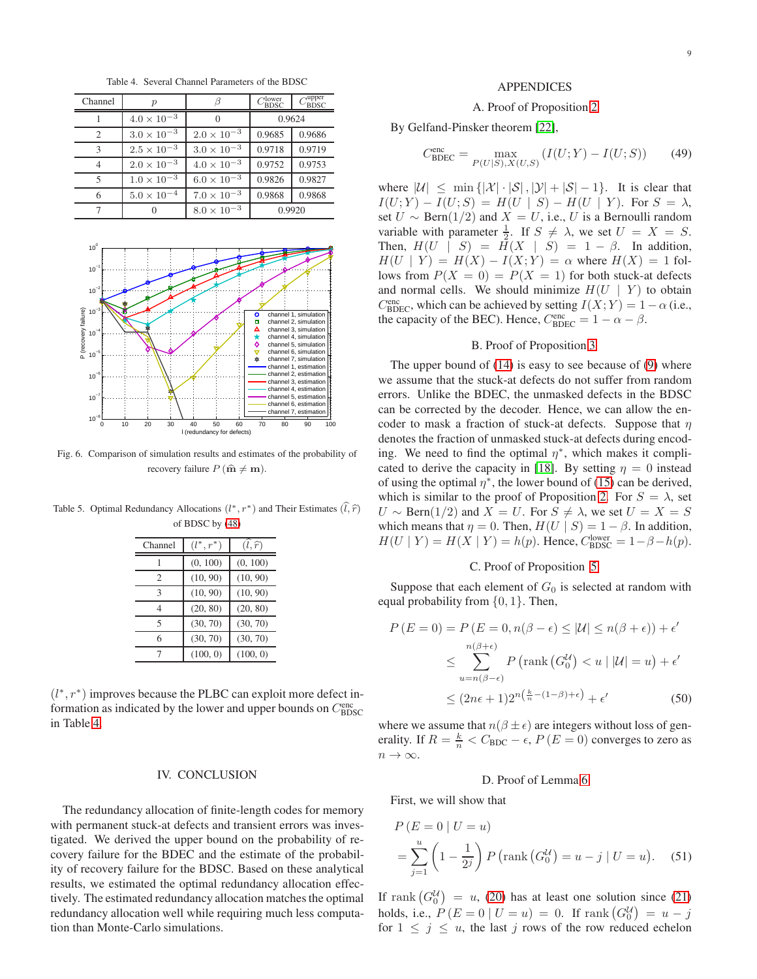<span id="page-8-7"></span>Table 4. Several Channel Parameters of the BDSC

| Channel        | $\mathcal{p}$        |                      | $C_{\rm {B D S C}}^{\rm {lower}}$ | $C_{\rm BDSC}^{\rm upper}$ |
|----------------|----------------------|----------------------|-----------------------------------|----------------------------|
|                | $4.0 \times 10^{-3}$ |                      | 0.9624                            |                            |
| $\overline{c}$ | $3.0 \times 10^{-3}$ | $2.0 \times 10^{-3}$ | 0.9685                            | 0.9686                     |
| 3              | $2.5 \times 10^{-3}$ | $3.0 \times 10^{-3}$ | 0.9718                            | 0.9719                     |
|                | $2.0 \times 10^{-3}$ | $4.0\times10^{-3}$   | 0.9752                            | 0.9753                     |
| 5              | $1.0 \times 10^{-3}$ | $6.0 \times 10^{-3}$ | 0.9826                            | 0.9827                     |
| 6              | $5.0 \times 10^{-4}$ | $7.0 \times 10^{-3}$ | 0.9868                            | 0.9868                     |
|                |                      | $8.0 \times 10^{-3}$ | 0.9920                            |                            |



<span id="page-8-8"></span>Fig. 6. Comparison of simulation results and estimates of the probability of recovery failure  $P(\hat{\mathbf{m}} \neq \mathbf{m})$ .

<span id="page-8-6"></span>Table 5. Optimal Redundancy Allocations  $(l^*, r^*)$  and Their Estimates  $(\hat{l}, \hat{r})$ of BDSC by [\(48\)](#page-7-2)

| Channel        | $(l^*, r^*)$ | $(l,\widehat{r})$ |
|----------------|--------------|-------------------|
|                | (0, 100)     | (0, 100)          |
| $\mathfrak{D}$ | (10, 90)     | (10, 90)          |
| 3              | (10, 90)     | (10, 90)          |
| 4              | (20, 80)     | (20, 80)          |
| 5              | (30, 70)     | (30, 70)          |
| 6              | (30, 70)     | (30, 70)          |
| 7              | (100, 0)     | (100, 0)          |

<span id="page-8-0"></span>( $l^*$ ,  $r^*$ ) improves because the PLBC can exploit more defect information as indicated by the lower and upper bounds on  $C_{\rm BDSC}^{\rm enc}$ in Table [4.](#page-8-7)

# IV. CONCLUSION

The redundancy allocation of finite-length codes for memory with permanent stuck-at defects and transient errors was investigated. We derived the upper bound on the probability of recovery failure for the BDEC and the estimate of the probability of recovery failure for the BDSC. Based on these analytical results, we estimated the optimal redundancy allocation effectively. The estimated redundancy allocation matches the optimal redundancy allocation well while requiring much less computation than Monte-Carlo simulations.

#### APPENDICES

# <span id="page-8-1"></span>A. Proof of Proposition [2](#page-2-9)

By Gelfand-Pinsker theorem [\[22\]](#page-11-9),

$$
C_{\text{BDEC}}^{\text{enc}} = \max_{P(U|S), X(U,S)} (I(U;Y) - I(U;S))
$$
 (49)

where  $|\mathcal{U}| \le \min\{|\mathcal{X}| \cdot |\mathcal{S}|, |\mathcal{Y}| + |\mathcal{S}| - 1\}$ . It is clear that  $I(U;Y) - I(U;S) = H(U | S) - H(U | Y)$ . For  $S = \lambda$ , set  $U \sim \text{Bern}(1/2)$  and  $X = U$ , i.e., U is a Bernoulli random variable with parameter  $\frac{1}{2}$ . If  $S \neq \lambda$ , we set  $U = X = S$ . Then,  $H(U \mid S) = H(X \mid S) = 1 - \beta$ . In addition,  $H(U \mid Y) = H(X) - I(X;Y) = \alpha$  where  $H(X) = 1$  follows from  $P(X = 0) = P(X = 1)$  for both stuck-at defects and normal cells. We should minimize  $H(U \mid Y)$  to obtain  $C_{\text{BDEC}}^{\text{enc}}$ , which can be achieved by setting  $I(X;Y) = 1 - \alpha$  (i.e., the capacity of the BEC). Hence,  $C_{\text{BDEC}}^{\text{enc}} = 1 - \alpha - \beta$ .

# <span id="page-8-2"></span>B. Proof of Proposition [3](#page-2-10)

The upper bound of [\(14\)](#page-2-11) is easy to see because of [\(9\)](#page-1-6) where we assume that the stuck-at defects do not suffer from random errors. Unlike the BDEC, the unmasked defects in the BDSC can be corrected by the decoder. Hence, we can allow the encoder to mask a fraction of stuck-at defects. Suppose that  $\eta$ denotes the fraction of unmasked stuck-at defects during encoding. We need to find the optimal  $\eta^*$ , which makes it compli-cated to derive the capacity in [\[18\]](#page-11-5). By setting  $\eta = 0$  instead of using the optimal  $\eta^*$ , the lower bound of [\(15\)](#page-2-0) can be derived, which is similar to the proof of Proposition [2.](#page-2-9) For  $S = \lambda$ , set  $U \sim \text{Bern}(1/2)$  and  $X = U$ . For  $S \neq \lambda$ , we set  $U = X = S$ which means that  $\eta = 0$ . Then,  $H(U | S) = 1 - \beta$ . In addition,  $H(U | Y) = H(X | Y) = h(p)$ . Hence,  $C_{\text{BDSC}}^{\text{lower}} = 1 - \beta - h(p)$ .

#### <span id="page-8-3"></span>C. Proof of Proposition [5](#page-3-6)

Suppose that each element of  $G_0$  is selected at random with equal probability from  $\{0, 1\}$ . Then,

$$
P(E = 0) = P(E = 0, n(\beta - \epsilon) \le |\mathcal{U}| \le n(\beta + \epsilon)) + \epsilon'
$$
  

$$
\le \sum_{u=n(\beta-\epsilon)}^{n(\beta+\epsilon)} P\left(\text{rank}\left(G_0^{\mathcal{U}}\right) < u \mid |\mathcal{U}| = u\right) + \epsilon'
$$
  

$$
\le (2n\epsilon + 1)2^{n\left(\frac{k}{n} - (1-\beta) + \epsilon\right)} + \epsilon'
$$
(50)

where we assume that  $n(\beta \pm \epsilon)$  are integers without loss of generality. If  $R = \frac{k}{n} < C_{BDC} - \epsilon$ ,  $P(E = 0)$  converges to zero as  $n \to \infty$ .

## <span id="page-8-9"></span><span id="page-8-5"></span><span id="page-8-4"></span>D. Proof of Lemma [6](#page-3-3)

First, we will show that

$$
P(E = 0 | U = u)
$$
  
=  $\sum_{j=1}^{u} \left(1 - \frac{1}{2^{j}}\right) P\left(\text{rank}\left(G_{0}^{U}\right) = u - j | U = u\right).$  (51)

If rank  $(G_0^{\mathcal{U}}) = u$ , [\(20\)](#page-2-3) has at least one solution since [\(21\)](#page-3-1) holds, i.e.,  $P(E = 0 | U = u) = 0$ . If rank  $(G_0^U) = u - j$ for  $1 \leq j \leq u$ , the last j rows of the row reduced echelon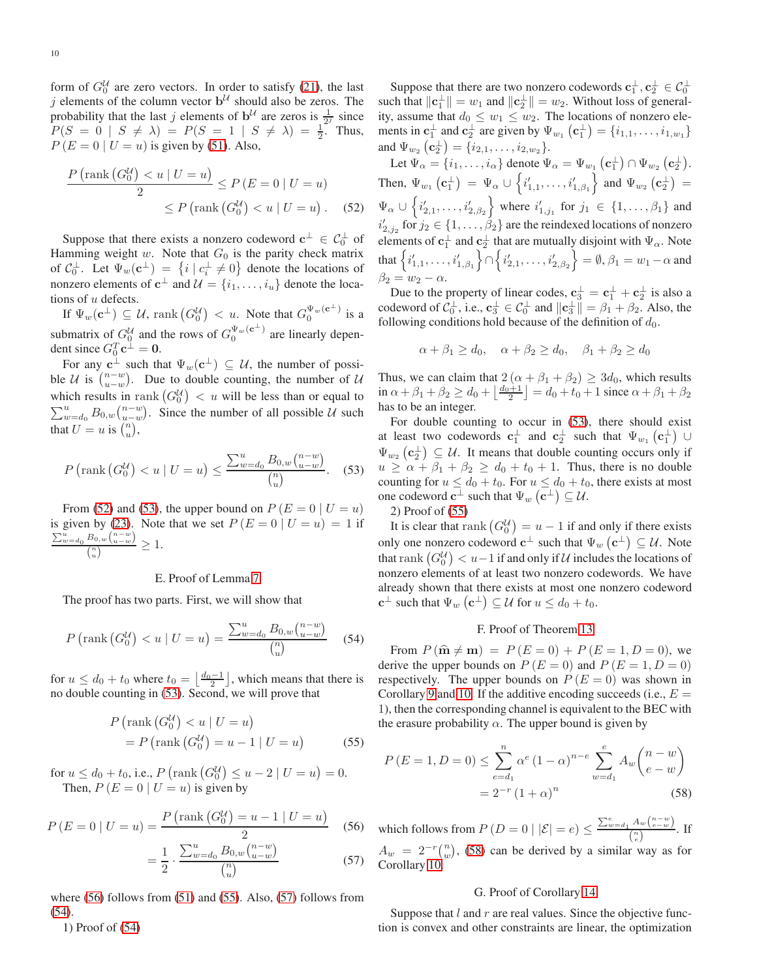form of  $G_0^{\mathcal{U}}$  are zero vectors. In order to satisfy [\(21\)](#page-3-1), the last j elements of the column vector  $\mathbf{b}^{\mathcal{U}}$  should also be zeros. The probability that the last j elements of  $\mathbf{b}^{\mathcal{U}}$  are zeros is  $\frac{1}{2^{j}}$  since  $P(S = 0 | S \neq \lambda) = P(S = 1 | S \neq \lambda) = \frac{1}{2}$ . Thus,  $P(E = 0 | U = u)$  is given by [\(51\)](#page-8-9). Also,

$$
\frac{P\left(\text{rank}\left(G_0^{\mathcal{U}}\right) < u \mid U = u\right)}{2} \le P\left(E = 0 \mid U = u\right)
$$
\n
$$
\le P\left(\text{rank}\left(G_0^{\mathcal{U}}\right) < u \mid U = u\right). \tag{52}
$$

Suppose that there exists a nonzero codeword  $c^{\perp} \in C_0^{\perp}$  of Hamming weight  $w$ . Note that  $G_0$  is the parity check matrix of  $C_0^{\perp}$ . Let  $\Psi_w(\mathbf{c}^{\perp}) = \{i \mid c_i^{\perp} \neq 0\}$  denote the locations of nonzero elements of  $\mathbf{c}^{\perp}$  and  $\mathcal{U} = \{i_1, \ldots, i_u\}$  denote the locations of  $u$  defects.

If  $\Psi_w(\mathbf{c}^{\perp}) \subseteq \mathcal{U}$ , rank  $(G_0^{\mathcal{U}}) < u$ . Note that  $G_0^{\Psi_w(\mathbf{c}^{\perp})}$  is a submatrix of  $G_0^U$  and the rows of  $G_0^{\Psi_w(e^{\perp})}$  are linearly dependent since  $G_0^T \mathbf{c}^{\perp} = \mathbf{0}$ .

For any  $c^{\perp}$  such that  $\Psi_w(c^{\perp}) \subseteq \mathcal{U}$ , the number of possible U is  $\binom{n-w}{u-w}$ . Due to double counting, the number of U which results in rank  $\left(G_0^{\mathcal{U}}\right) < u$  will be less than or equal to  $\sum_{w=d_0}^{u} B_{0,w} {n-w \choose u-w}$ . Since the number of all possible U such that  $U = u$  is  $\binom{n}{u}$ ,

<span id="page-9-4"></span>
$$
P\left(\text{rank}\left(G_0^{\mathcal{U}}\right) < u \mid U = u\right) \le \frac{\sum_{w=d_0}^{u} B_{0,w} \binom{n-w}{u-w}}{\binom{n}{u}}.\tag{53}
$$

From [\(52\)](#page-9-3) and [\(53\)](#page-9-4), the upper bound on  $P(E = 0 | U = u)$ is given by [\(23\)](#page-3-7). Note that we set  $P(E = 0 | U = u) = 1$  if  $\sum_{w=d_0}^{u} B_{0,w} \binom{n-w}{u-w}$  $\frac{L_{0,w(u-w)}}{\binom{n}{u}} \geq 1.$ 

## <span id="page-9-0"></span>E. Proof of Lemma [7](#page-3-4)

The proof has two parts. First, we will show that

<span id="page-9-8"></span>
$$
P\left(\text{rank}\left(G_0^{\mathcal{U}}\right) < u \mid U = u\right) = \frac{\sum_{w=d_0}^{u} B_{0,w} \binom{n-w}{u-w}}{\binom{n}{u}} \tag{54}
$$

for  $u \leq d_0 + t_0$  where  $t_0 = \left\lfloor \frac{d_0 - 1}{2} \right\rfloor$ , which means that there is no double counting in [\(53\)](#page-9-4). Second, we will prove that

$$
P\left(\text{rank}\left(G_0^{\mathcal{U}}\right) < u \mid U = u\right)
$$
\n
$$
= P\left(\text{rank}\left(G_0^{\mathcal{U}}\right) = u - 1 \mid U = u\right) \tag{55}
$$

for  $u \leq d_0 + t_0$ , i.e.,  $P\left(\text{rank}\left(G_0^{\mathcal{U}}\right) \leq u - 2 \mid U = u\right) = 0$ . Then,  $P(E = 0 | U = u)$  is given by

$$
P(E = 0 | U = u) = \frac{P(\text{rank}(G_0^U) = u - 1 | U = u)}{2}
$$
(56)  

$$
= \frac{1}{2} \cdot \frac{\sum_{w=d_0}^{u} B_{0,w} \binom{n-w}{u-w}}{\binom{n}{u}}
$$
(57)

where  $(56)$  follows from  $(51)$  and  $(55)$ . Also,  $(57)$  follows from [\(54\)](#page-9-8).

1) Proof of [\(54\)](#page-9-8)

Suppose that there are two nonzero codewords  $\mathbf{c}_1^{\perp}, \mathbf{c}_2^{\perp} \in C_0^{\perp}$ such that  $\|\mathbf{c}_1^{\perp}\| = w_1$  and  $\|\mathbf{c}_2^{\perp}\| = w_2$ . Without loss of generality, assume that  $d_0 \leq w_1 \leq w_2$ . The locations of nonzero elements in  $\mathbf{c}_1^{\perp}$  and  $\mathbf{c}_2^{\perp}$  are given by  $\Psi_{w_1}(\mathbf{c}_1^{\perp}) = \{i_{1,1}, \ldots, i_{1,w_1}\}\$ and  $\Psi_{w_2}\left(\mathbf{c}_2^{\perp}\right) = \{i_{2,1}, \ldots, i_{2,w_2}\}.$ 

<span id="page-9-3"></span>Let  $\Psi_{\alpha} = \{i_1, \ldots, i_{\alpha}\}\$ denote  $\Psi_{\alpha} = \Psi_{w_1}(\mathbf{c}_1^{\perp}) \cap \Psi_{w_2}(\mathbf{c}_2^{\perp}).$ Then,  $\Psi_{w_1}(\mathbf{c}_1^{\perp}) = \Psi_{\alpha} \cup \{i'_{1,1}, \ldots, i'_{1,\beta_1}\}$  and  $\Psi_{w_2}(\mathbf{c}_2^{\perp}) =$  $\Psi_{\alpha} \cup \{i'_{2,1}, \ldots, i'_{2,\beta_2}\}$  where  $i'_{1,j_1}$  for  $j_1 \in \{1, \ldots, \beta_1\}$  and  $i'_{2,j_2}$  for  $j_2 \in \{1, \ldots, \beta_2\}$  are the reindexed locations of nonzero elements of  $\mathbf{c}_1^{\perp}$  and  $\mathbf{c}_2^{\perp}$  that are mutually disjoint with  $\Psi_{\alpha}$ . Note that  $\left\{ i'_{1,1}, \ldots, i'_{1,\beta_1} \right\} \cap \left\{ i'_{2,1}, \ldots, i'_{2,\beta_2} \right\} = \emptyset, \beta_1 = w_1 - \alpha$  and  $\beta_2 = w_2 - \alpha.$ 

Due to the property of linear codes,  $\mathbf{c}_3^{\perp} = \mathbf{c}_1^{\perp} + \mathbf{c}_2^{\perp}$  is also a codeword of  $C_0^{\perp}$ , i.e.,  $\mathbf{c}_3^{\perp} \in C_0^{\perp}$  and  $\|\mathbf{c}_3^{\perp}\| = \beta_1 + \beta_2$ . Also, the following conditions hold because of the definition of  $d_0$ .

$$
\alpha + \beta_1 \ge d_0, \quad \alpha + \beta_2 \ge d_0, \quad \beta_1 + \beta_2 \ge d_0
$$

Thus, we can claim that  $2(\alpha + \beta_1 + \beta_2) \geq 3d_0$ , which results in  $\alpha + \beta_1 + \beta_2 \ge d_0 + \left\lfloor \frac{d_0 + 1}{2} \right\rfloor = d_0 + t_0 + 1$  since  $\alpha + \beta_1 + \beta_2$ has to be an integer.

For double counting to occur in [\(53\)](#page-9-4), there should exist at least two codewords  $\mathbf{c}_1^{\perp}$  and  $\mathbf{c}_2^{\perp}$  such that  $\Psi_{w_1}(\mathbf{c}_1^{\perp}) \cup$  $\Psi_{w_2}(\mathbf{c}_2^{\perp}) \subseteq \mathcal{U}$ . It means that double counting occurs only if  $u \ge \alpha + \beta_1 + \beta_2 \ge d_0 + t_0 + 1$ . Thus, there is no double counting for  $u \leq d_0 + t_0$ . For  $u \leq d_0 + t_0$ , there exists at most one codeword  $\mathbf{c}^{\perp}$  such that  $\Psi_w(\mathbf{c}^{\perp}) \subseteq \mathcal{U}$ .

2) Proof of [\(55\)](#page-9-6)

It is clear that rank  $\left(G_0^{\mathcal{U}}\right) = u - 1$  if and only if there exists only one nonzero codeword  $\mathbf{c}^{\perp}$  such that  $\Psi_w\left(\mathbf{c}^{\perp}\right) \subseteq \mathcal{U}$ . Note that  $\operatorname{rank} \left( G_0^{\mathcal{U}} \right) < u-1$  if and only if  $\mathcal{U}$  includes the locations of nonzero elements of at least two nonzero codewords. We have already shown that there exists at most one nonzero codeword  $\mathbf{c}^{\perp}$  such that  $\Psi_w(\mathbf{c}^{\perp}) \subseteq \mathcal{U}$  for  $u \leq d_0 + t_0$ .

#### <span id="page-9-1"></span>F. Proof of Theorem [13](#page-5-6)

From  $P(\hat{\mathbf{m}} \neq \mathbf{m}) = P(E = 0) + P(E = 1, D = 0)$ , we derive the upper bounds on  $P(E = 0)$  and  $P(E = 1, D = 0)$ respectively. The upper bounds on  $P(E = 0)$  was shown in Corollary [9](#page-4-8) and [10.](#page-4-9) If the additive encoding succeeds (i.e.,  $E =$ 1), then the corresponding channel is equivalent to the BEC with the erasure probability  $\alpha$ . The upper bound is given by

<span id="page-9-6"></span>
$$
P(E = 1, D = 0) \le \sum_{e=d_1}^{n} \alpha^e (1 - \alpha)^{n-e} \sum_{w=d_1}^{e} A_w {n-w \choose e-w}
$$
  
=  $2^{-r} (1 + \alpha)^n$  (58)

<span id="page-9-7"></span><span id="page-9-5"></span>which follows from  $P(D=0 \mid |\mathcal{E}| = e) \leq \frac{\sum_{w=d_1}^{e} A_w {n-w \choose e-w}}{n}$  $\frac{f(w(e-w))}{\binom{n}{e}}$ . If  $A_w = 2^{-r} {n \choose w}$ , [\(58\)](#page-9-9) can be derived by a similar way as for Corollary [10.](#page-4-9)

#### <span id="page-9-9"></span><span id="page-9-2"></span>G. Proof of Corollary [14](#page-5-5)

Suppose that  $l$  and  $r$  are real values. Since the objective function is convex and other constraints are linear, the optimization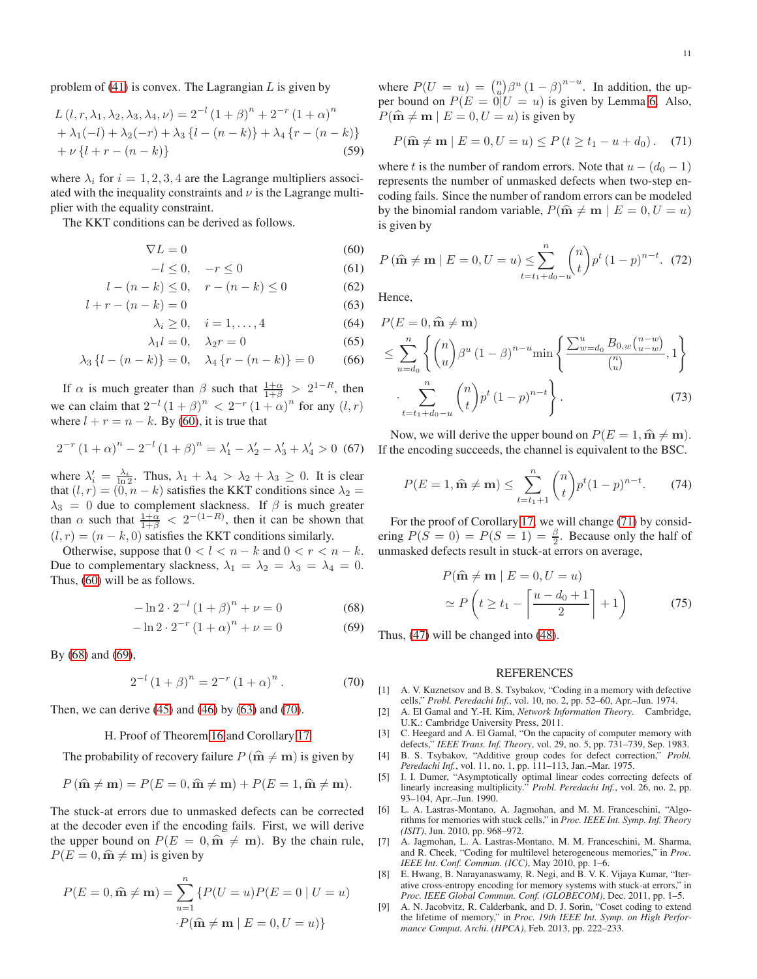problem of  $(41)$  is convex. The Lagrangian L is given by

$$
L(l, r, \lambda_1, \lambda_2, \lambda_3, \lambda_4, \nu) = 2^{-l} (1 + \beta)^n + 2^{-r} (1 + \alpha)^n
$$
  
+  $\lambda_1(-l) + \lambda_2(-r) + \lambda_3 \{l - (n - k)\} + \lambda_4 \{r - (n - k)\}\$   
+  $\nu \{l + r - (n - k)\}$  (59)

where  $\lambda_i$  for  $i = 1, 2, 3, 4$  are the Lagrange multipliers associated with the inequality constraints and  $\nu$  is the Lagrange multiplier with the equality constraint.

The KKT conditions can be derived as follows.

$$
\nabla L = 0 \tag{60}
$$

$$
-l \le 0, \quad -r \le 0 \tag{61}
$$

$$
l - (n - k) \le 0, \quad r - (n - k) \le 0 \tag{62}
$$

$$
l + r - (n - k) = 0 \tag{63}
$$

$$
\lambda_i \ge 0, \quad i = 1, \dots, 4 \tag{64}
$$

$$
\lambda_1 l = 0, \quad \lambda_2 r = 0 \tag{65}
$$

$$
\lambda_3 \{l - (n - k)\} = 0, \quad \lambda_4 \{r - (n - k)\} = 0 \tag{66}
$$

If  $\alpha$  is much greater than  $\beta$  such that  $\frac{1+\alpha}{1+\beta} > 2^{1-R}$ , then we can claim that  $2^{-l} (1+\beta)^n < 2^{-r} (1+\alpha)^n$  for any  $(l,r)$ where  $l + r = n - k$ . By [\(60\)](#page-10-7), it is true that

$$
2^{-r} (1+\alpha)^n - 2^{-l} (1+\beta)^n = \lambda'_1 - \lambda'_2 - \lambda'_3 + \lambda'_4 > 0 \tag{67}
$$

where  $\lambda'_i = \frac{\lambda_i}{\ln 2}$ . Thus,  $\lambda_1 + \lambda_4 > \lambda_2 + \lambda_3 \geq 0$ . It is clear that  $(l, r) = (0, n - k)$  satisfies the KKT conditions since  $\lambda_2 =$  $\lambda_3 = 0$  due to complement slackness. If  $\beta$  is much greater than  $\alpha$  such that  $\frac{1+\alpha}{1+\beta} < 2^{-(1-R)}$ , then it can be shown that  $(l, r) = (n - k, 0)$  satisfies the KKT conditions similarly.

Otherwise, suppose that  $0 < l < n - k$  and  $0 < r < n - k$ . Due to complementary slackness,  $\lambda_1 = \lambda_2 = \lambda_3 = \lambda_4 = 0$ . Thus, [\(60\)](#page-10-7) will be as follows.

$$
-\ln 2 \cdot 2^{-l} (1+\beta)^n + \nu = 0 \tag{68}
$$

$$
-\ln 2 \cdot 2^{-r} (1+\alpha)^n + \nu = 0 \tag{69}
$$

By [\(68\)](#page-10-8) and [\(69\)](#page-10-9),

<span id="page-10-11"></span>
$$
2^{-l} (1 + \beta)^n = 2^{-r} (1 + \alpha)^n.
$$
 (70)

Then, we can derive [\(45\)](#page-6-0) and [\(46\)](#page-6-1) by [\(63\)](#page-10-10) and [\(70\)](#page-10-11).

## <span id="page-10-6"></span>H. Proof of Theorem [16](#page-7-3) and Corollary [17](#page-7-4)

The probability of recovery failure  $P(\hat{\mathbf{m}} \neq \mathbf{m})$  is given by

$$
P(\hat{\mathbf{m}} \neq \mathbf{m}) = P(E = 0, \hat{\mathbf{m}} \neq \mathbf{m}) + P(E = 1, \hat{\mathbf{m}} \neq \mathbf{m}).
$$

The stuck-at errors due to unmasked defects can be corrected at the decoder even if the encoding fails. First, we will derive the upper bound on  $P(E = 0, \hat{m} \neq m)$ . By the chain rule,  $P(E = 0, \hat{m} \neq m)$  is given by

$$
P(E = 0, \hat{\mathbf{m}} \neq \mathbf{m}) = \sum_{u=1}^{n} \{ P(U = u) P(E = 0 | U = u) \}
$$

$$
\cdot P(\hat{\mathbf{m}} \neq \mathbf{m} | E = 0, U = u) \}
$$

where  $P(U = u) = {n \choose u} \beta^u (1 - \beta)^{n-u}$ . In addition, the upper bound on  $P(E = 0|U = u)$  is given by Lemma [6.](#page-3-3) Also,  $P(\hat{\mathbf{m}} \neq \mathbf{m} \mid E = 0, U = u)$  is given by

<span id="page-10-12"></span>
$$
P(\hat{\mathbf{m}} \neq \mathbf{m} | E = 0, U = u) \le P(t \ge t_1 - u + d_0).
$$
 (71)

where t is the number of random errors. Note that  $u - (d_0 - 1)$ represents the number of unmasked defects when two-step encoding fails. Since the number of random errors can be modeled by the binomial random variable,  $P(\hat{\mathbf{m}} \neq \mathbf{m} \mid E = 0, U = u)$ is given by

<span id="page-10-7"></span>
$$
P(\hat{\mathbf{m}} \neq \mathbf{m} \mid E = 0, U = u) \leq \sum_{t=t_1+d_0-u}^{n} {n \choose t} p^t (1-p)^{n-t}.
$$
 (72)

<span id="page-10-10"></span>Hence,

$$
P(E = 0, \hat{\mathbf{m}} \neq \mathbf{m})
$$
  
\n
$$
\leq \sum_{u=d_0}^n \left\{ {n \choose u} \beta^u (1-\beta)^{n-u} \min \left\{ \frac{\sum_{w=d_0}^u B_{0,w} {n-w \choose u-w}}{n \choose u}, 1 \right\}
$$
  
\n
$$
\cdot \sum_{t=t_1+d_0-u}^n {n \choose t} p^t (1-p)^{n-t} \right\}.
$$
 (73)

Now, we will derive the upper bound on  $P(E = 1, \hat{m} \neq m)$ . If the encoding succeeds, the channel is equivalent to the BSC.

$$
P(E = 1, \hat{\mathbf{m}} \neq \mathbf{m}) \le \sum_{t=t_1+1}^{n} {n \choose t} p^t (1-p)^{n-t}.
$$
 (74)

For the proof of Corollary [17,](#page-7-4) we will change [\(71\)](#page-10-12) by considering  $P(S = 0) = P(S = 1) = \frac{\beta}{2}$ . Because only the half of unmasked defects result in stuck-at errors on average,

$$
P(\hat{\mathbf{m}} \neq \mathbf{m} \mid E = 0, U = u)
$$
  
\n
$$
\simeq P\left(t \ge t_1 - \left\lceil \frac{u - d_0 + 1}{2} \right\rceil + 1\right)
$$
 (75)

<span id="page-10-9"></span><span id="page-10-8"></span>Thus, [\(47\)](#page-7-1) will be changed into [\(48\)](#page-7-2).

## REFERENCES

- <span id="page-10-0"></span>[1] A. V. Kuznetsov and B. S. Tsybakov, "Coding in a memory with defective cells," *Probl. Peredachi Inf.*, vol. 10, no. 2, pp. 52–60, Apr.–Jun. 1974.
- <span id="page-10-1"></span>[2] A. El Gamal and Y.-H. Kim, *Network Information Theory*. Cambridge, U.K.: Cambridge University Press, 2011.
- <span id="page-10-2"></span>[3] C. Heegard and A. El Gamal, "On the capacity of computer memory with defects," *IEEE Trans. Inf. Theory*, vol. 29, no. 5, pp. 731–739, Sep. 1983.
- <span id="page-10-3"></span>[4] B. S. Tsybakov, "Additive group codes for defect correction," *Probl. Peredachi Inf.*, vol. 11, no. 1, pp. 111–113, Jan.–Mar. 1975.
- <span id="page-10-4"></span>[5] I. I. Dumer, "Asymptotically optimal linear codes correcting defects of linearly increasing multiplicity." *Probl. Peredachi Inf.*, vol. 26, no. 2, pp. 93–104, Apr.–Jun. 1990.
- <span id="page-10-5"></span>[6] L. A. Lastras-Montano, A. Jagmohan, and M. M. Franceschini, "Algorithms for memories with stuck cells," in *Proc. IEEE Int. Symp. Inf. Theory (ISIT)*, Jun. 2010, pp. 968–972.
- [7] A. Jagmohan, L. A. Lastras-Montano, M. M. Franceschini, M. Sharma, and R. Cheek, "Coding for multilevel heterogeneous memories," in *Proc. IEEE Int. Conf. Commun. (ICC)*, May 2010, pp. 1–6.
- [8] E. Hwang, B. Narayanaswamy, R. Negi, and B. V. K. Vijaya Kumar, "Iterative cross-entropy encoding for memory systems with stuck-at errors," in *Proc. IEEE Global Commun. Conf. (GLOBECOM)*, Dec. 2011, pp. 1–5.
- [9] A. N. Jacobvitz, R. Calderbank, and D. J. Sorin, "Coset coding to extend the lifetime of memory," in *Proc. 19th IEEE Int. Symp. on High Performance Comput. Archi. (HPCA)*, Feb. 2013, pp. 222–233.